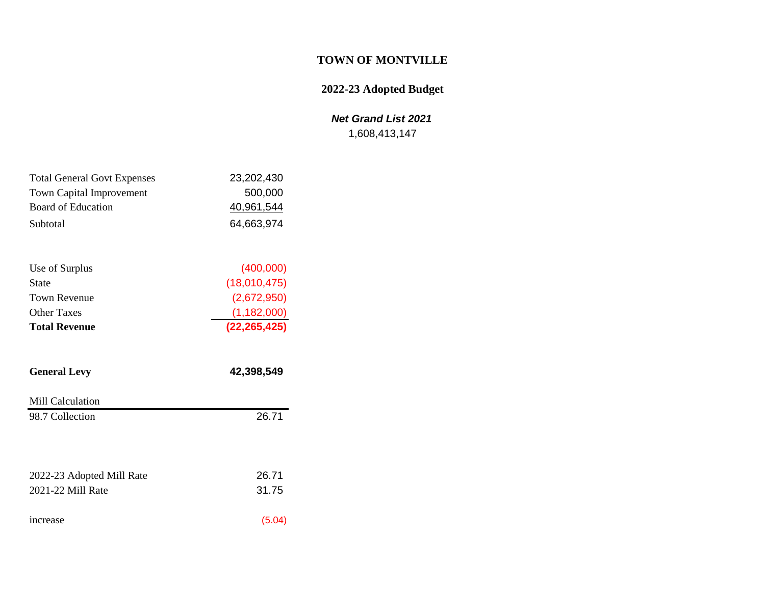# **TOWN OF MONTVILLE**

# **2022-23 Adopted Budget**

# *Net Grand List 2021*

1,608,413,147

| <b>Total General Govt Expenses</b> | 23,202,430 |
|------------------------------------|------------|
| <b>Town Capital Improvement</b>    | 500,000    |
| Board of Education                 | 40,961,544 |
| Subtotal                           | 64,663,974 |

| <b>Total Revenue</b> | (22, 265, 425) |
|----------------------|----------------|
| <b>Other Taxes</b>   | (1, 182, 000)  |
| Town Revenue         | (2,672,950)    |
| <b>State</b>         | (18,010,475)   |
| Use of Surplus       | (400,000)      |

| <b>General Levy</b>       | 42,398,549 |
|---------------------------|------------|
| Mill Calculation          |            |
| 98.7 Collection           | 26.71      |
|                           |            |
| 2022-23 Adopted Mill Rate | 26.71      |
| 2021-22 Mill Rate         | 31.75      |
| increase                  | (5.04)     |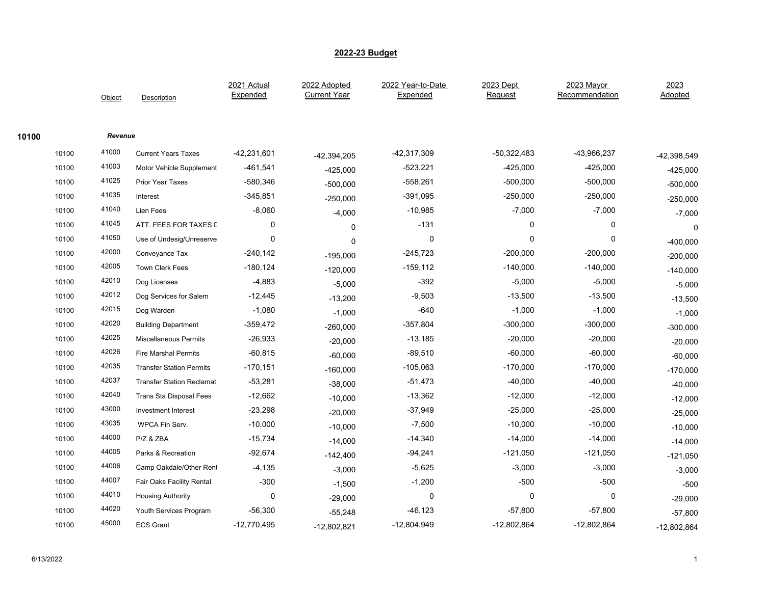|       |       | Object  | Description                      | 2021 Actual<br>Expended | 2022 Adopted<br><b>Current Year</b> | 2022 Year-to-Date<br>Expended | 2023 Dept<br>Request | 2023 Mayor<br>Recommendation | 2023<br>Adopted |
|-------|-------|---------|----------------------------------|-------------------------|-------------------------------------|-------------------------------|----------------------|------------------------------|-----------------|
| 10100 |       | Revenue |                                  |                         |                                     |                               |                      |                              |                 |
|       | 10100 | 41000   | <b>Current Years Taxes</b>       | -42,231,601             | -42,394,205                         | -42,317,309                   | $-50,322,483$        | -43,966,237                  | -42,398,549     |
|       | 10100 | 41003   | Motor Vehicle Supplement         | $-461,541$              | $-425,000$                          | $-523,221$                    | $-425,000$           | $-425,000$                   | $-425,000$      |
|       | 10100 | 41025   | Prior Year Taxes                 | $-580,346$              | $-500,000$                          | $-558,261$                    | $-500,000$           | $-500,000$                   | $-500,000$      |
|       | 10100 | 41035   | Interest                         | $-345,851$              | $-250,000$                          | $-391,095$                    | $-250,000$           | $-250,000$                   | $-250,000$      |
|       | 10100 | 41040   | Lien Fees                        | $-8,060$                | $-4,000$                            | $-10,985$                     | $-7,000$             | $-7,000$                     | $-7,000$        |
|       | 10100 | 41045   | ATT. FEES FOR TAXES L            | 0                       | $\Omega$                            | $-131$                        | 0                    | $\mathbf 0$                  | 0               |
|       | 10100 | 41050   | Use of Undesig/Unreserve         | 0                       | 0                                   | $\mathbf 0$                   | 0                    | $\mathbf 0$                  | $-400,000$      |
|       | 10100 | 42000   | Conveyance Tax                   | $-240,142$              | $-195,000$                          | $-245,723$                    | $-200,000$           | $-200,000$                   | $-200,000$      |
|       | 10100 | 42005   | <b>Town Clerk Fees</b>           | $-180, 124$             | $-120,000$                          | $-159, 112$                   | $-140,000$           | $-140,000$                   | $-140,000$      |
|       | 10100 | 42010   | Dog Licenses                     | $-4,883$                | $-5,000$                            | $-392$                        | $-5,000$             | $-5,000$                     | $-5,000$        |
|       | 10100 | 42012   | Dog Services for Salem           | $-12,445$               | $-13,200$                           | $-9,503$                      | $-13,500$            | $-13,500$                    | $-13,500$       |
|       | 10100 | 42015   | Dog Warden                       | $-1,080$                | $-1,000$                            | $-640$                        | $-1,000$             | $-1,000$                     | $-1,000$        |
|       | 10100 | 42020   | <b>Building Department</b>       | $-359,472$              | $-260,000$                          | $-357,804$                    | $-300,000$           | $-300,000$                   | $-300,000$      |
|       | 10100 | 42025   | <b>Miscellaneous Permits</b>     | $-26,933$               | $-20,000$                           | $-13,185$                     | $-20,000$            | $-20,000$                    | $-20,000$       |
|       | 10100 | 42026   | <b>Fire Marshal Permits</b>      | $-60,815$               | $-60,000$                           | $-89,510$                     | $-60,000$            | $-60,000$                    | $-60,000$       |
|       | 10100 | 42035   | <b>Transfer Station Permits</b>  | $-170,151$              | $-160,000$                          | $-105,063$                    | $-170,000$           | $-170,000$                   | $-170,000$      |
|       | 10100 | 42037   | <b>Transfer Station Reclamat</b> | $-53,281$               | $-38,000$                           | $-51,473$                     | $-40,000$            | $-40,000$                    | $-40,000$       |
|       | 10100 | 42040   | <b>Trans Sta Disposal Fees</b>   | $-12,662$               | $-10,000$                           | $-13,362$                     | $-12,000$            | $-12,000$                    | $-12,000$       |
|       | 10100 | 43000   | Investment Interest              | $-23,298$               | $-20,000$                           | $-37,949$                     | $-25,000$            | $-25,000$                    | $-25,000$       |
|       | 10100 | 43035   | WPCA Fin Serv.                   | $-10,000$               | $-10,000$                           | $-7,500$                      | $-10,000$            | $-10,000$                    | $-10,000$       |
|       | 10100 | 44000   | P/Z & ZBA                        | $-15,734$               | $-14,000$                           | $-14,340$                     | $-14,000$            | $-14,000$                    | $-14,000$       |
|       | 10100 | 44005   | Parks & Recreation               | $-92,674$               | $-142,400$                          | $-94,241$                     | -121,050             | $-121,050$                   | $-121,050$      |
|       | 10100 | 44006   | Camp Oakdale/Other Rent          | $-4,135$                | $-3,000$                            | $-5,625$                      | $-3,000$             | $-3,000$                     | $-3,000$        |
|       | 10100 | 44007   | Fair Oaks Facility Rental        | $-300$                  | $-1,500$                            | $-1,200$                      | $-500$               | $-500$                       | $-500$          |
|       | 10100 | 44010   | <b>Housing Authority</b>         | 0                       | $-29,000$                           | 0                             | 0                    | 0                            | $-29,000$       |
|       | 10100 | 44020   | Youth Services Program           | $-56,300$               | $-55,248$                           | $-46, 123$                    | $-57,800$            | $-57,800$                    | $-57,800$       |
|       | 10100 | 45000   | <b>ECS Grant</b>                 | $-12,770,495$           | $-12,802,821$                       | $-12,804,949$                 | -12,802,864          | $-12,802,864$                | $-12,802,864$   |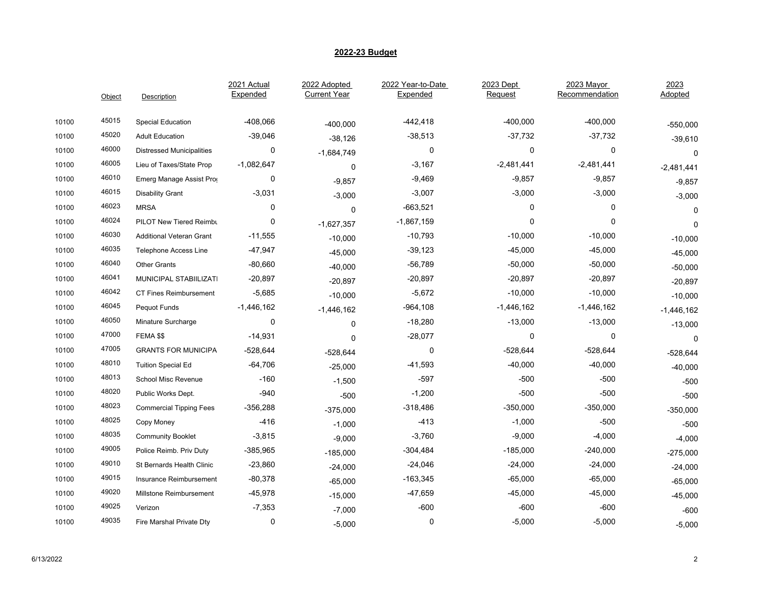|       | Object | <b>Description</b>               | 2021 Actual<br>Expended | 2022 Adopted<br><b>Current Year</b> | 2022 Year-to-Date<br>Expended | 2023 Dept<br>Request | 2023 Mayor<br>Recommendation | 2023<br>Adopted |
|-------|--------|----------------------------------|-------------------------|-------------------------------------|-------------------------------|----------------------|------------------------------|-----------------|
| 10100 | 45015  | Special Education                | $-408,066$              | $-400,000$                          | $-442, 418$                   | $-400,000$           | $-400,000$                   | $-550,000$      |
| 10100 | 45020  | <b>Adult Education</b>           | $-39,046$               | $-38,126$                           | $-38,513$                     | $-37,732$            | $-37,732$                    | $-39,610$       |
| 10100 | 46000  | <b>Distressed Municipalities</b> | 0                       | $-1,684,749$                        | 0                             | 0                    | 0                            | $\mathbf 0$     |
| 10100 | 46005  | Lieu of Taxes/State Prop         | $-1,082,647$            | 0                                   | $-3,167$                      | $-2,481,441$         | $-2,481,441$                 | $-2,481,441$    |
| 10100 | 46010  | Emerg Manage Assist Prog         | 0                       | $-9,857$                            | $-9,469$                      | $-9,857$             | $-9,857$                     | $-9,857$        |
| 10100 | 46015  | <b>Disability Grant</b>          | $-3,031$                | $-3,000$                            | $-3,007$                      | $-3,000$             | $-3,000$                     | $-3,000$        |
| 10100 | 46023  | <b>MRSA</b>                      | 0                       | $\mathbf 0$                         | $-663,521$                    | $\mathbf 0$          | $\mathbf 0$                  | 0               |
| 10100 | 46024  | PILOT New Tiered Reimbu          | 0                       | $-1,627,357$                        | $-1,867,159$                  | 0                    | 0                            | $\pmb{0}$       |
| 10100 | 46030  | <b>Additional Veteran Grant</b>  | $-11,555$               | $-10,000$                           | $-10,793$                     | $-10,000$            | $-10,000$                    | $-10,000$       |
| 10100 | 46035  | Telephone Access Line            | -47,947                 | $-45,000$                           | $-39,123$                     | $-45,000$            | $-45,000$                    | $-45,000$       |
| 10100 | 46040  | <b>Other Grants</b>              | $-80,660$               | $-40,000$                           | $-56,789$                     | $-50,000$            | $-50,000$                    | $-50,000$       |
| 10100 | 46041  | MUNICIPAL STABIILIZATI           | $-20,897$               | $-20,897$                           | $-20,897$                     | $-20,897$            | $-20,897$                    | $-20,897$       |
| 10100 | 46042  | <b>CT Fines Reimbursement</b>    | $-5,685$                | $-10,000$                           | $-5,672$                      | $-10,000$            | $-10,000$                    | $-10,000$       |
| 10100 | 46045  | Pequot Funds                     | $-1,446,162$            | $-1,446,162$                        | $-964, 108$                   | $-1,446,162$         | $-1,446,162$                 | $-1,446,162$    |
| 10100 | 46050  | Minature Surcharge               | 0                       | 0                                   | $-18,280$                     | $-13,000$            | $-13,000$                    | $-13,000$       |
| 10100 | 47000  | FEMA \$\$                        | $-14,931$               | $\Omega$                            | $-28,077$                     | 0                    | 0                            | $\mathbf 0$     |
| 10100 | 47005  | <b>GRANTS FOR MUNICIPA</b>       | -528,644                | $-528,644$                          | 0                             | $-528,644$           | $-528,644$                   | $-528,644$      |
| 10100 | 48010  | <b>Tuition Special Ed</b>        | $-64,706$               | $-25,000$                           | $-41,593$                     | $-40,000$            | $-40,000$                    | $-40,000$       |
| 10100 | 48013  | School Misc Revenue              | $-160$                  | $-1,500$                            | $-597$                        | $-500$               | $-500$                       | $-500$          |
| 10100 | 48020  | Public Works Dept.               | $-940$                  | $-500$                              | $-1,200$                      | $-500$               | $-500$                       | $-500$          |
| 10100 | 48023  | <b>Commercial Tipping Fees</b>   | $-356,288$              | $-375,000$                          | $-318,486$                    | $-350,000$           | $-350,000$                   | $-350,000$      |
| 10100 | 48025  | Copy Money                       | $-416$                  | $-1,000$                            | $-413$                        | $-1,000$             | $-500$                       | $-500$          |
| 10100 | 48035  | <b>Community Booklet</b>         | $-3,815$                | $-9,000$                            | $-3,760$                      | $-9,000$             | $-4,000$                     | $-4,000$        |
| 10100 | 49005  | Police Reimb. Priv Duty          | $-385,965$              | $-185,000$                          | $-304,484$                    | $-185,000$           | $-240,000$                   | $-275,000$      |
| 10100 | 49010  | St Bernards Health Clinic        | $-23,860$               | $-24,000$                           | $-24,046$                     | $-24,000$            | $-24,000$                    | $-24,000$       |
| 10100 | 49015  | Insurance Reimbursement          | $-80,378$               | $-65,000$                           | $-163,345$                    | $-65,000$            | $-65,000$                    | $-65,000$       |
| 10100 | 49020  | Millstone Reimbursement          | $-45,978$               | $-15,000$                           | $-47,659$                     | $-45,000$            | $-45,000$                    | $-45,000$       |
| 10100 | 49025  | Verizon                          | $-7,353$                | $-7,000$                            | $-600$                        | $-600$               | $-600$                       | $-600$          |
| 10100 | 49035  | Fire Marshal Private Dty         | 0                       | $-5,000$                            | $\mathbf 0$                   | $-5,000$             | $-5,000$                     | $-5,000$        |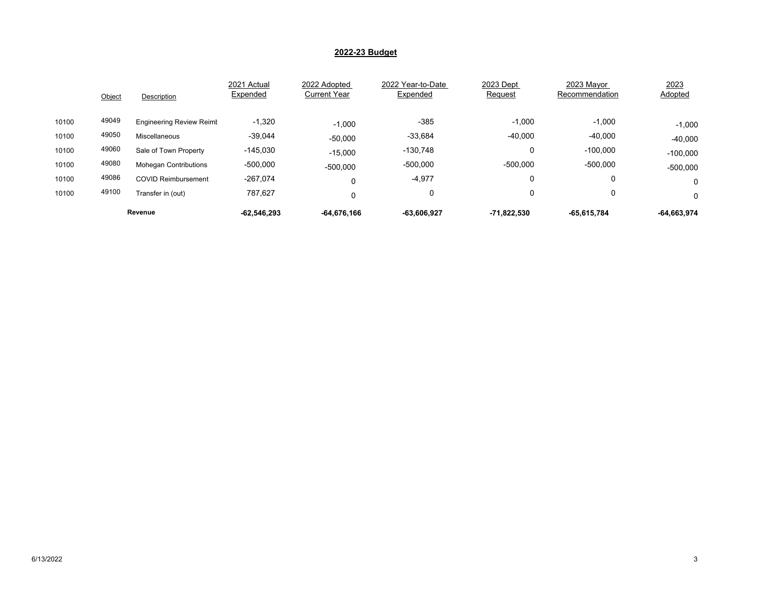|       | Object | Description                     | 2021 Actual<br>Expended | 2022 Adopted<br><b>Current Year</b> | 2022 Year-to-Date<br>Expended | 2023 Dept<br>Request | 2023 Mayor<br>Recommendation | 2023<br>Adopted |
|-------|--------|---------------------------------|-------------------------|-------------------------------------|-------------------------------|----------------------|------------------------------|-----------------|
| 10100 | 49049  | <b>Engineering Review Reimt</b> | $-1,320$                | $-1.000$                            | $-385$                        | $-1,000$             | $-1,000$                     | $-1,000$        |
| 10100 | 49050  | Miscellaneous                   | $-39,044$               | $-50,000$                           | $-33,684$                     | $-40,000$            | $-40,000$                    | $-40,000$       |
| 10100 | 49060  | Sale of Town Property           | $-145,030$              | $-15,000$                           | $-130,748$                    | 0                    | $-100,000$                   | $-100,000$      |
| 10100 | 49080  | <b>Mohegan Contributions</b>    | $-500,000$              | $-500,000$                          | $-500,000$                    | $-500,000$           | $-500,000$                   | $-500,000$      |
| 10100 | 49086  | <b>COVID Reimbursement</b>      | $-267,074$              |                                     | $-4,977$                      | 0                    | 0                            | 0               |
| 10100 | 49100  | Transfer in (out)               | 787,627                 |                                     | 0                             | 0                    | 0                            | 0               |
|       |        | Revenue                         | $-62,546,293$           | -64,676,166                         | $-63,606,927$                 | -71,822,530          | $-65,615,784$                | $-64,663,974$   |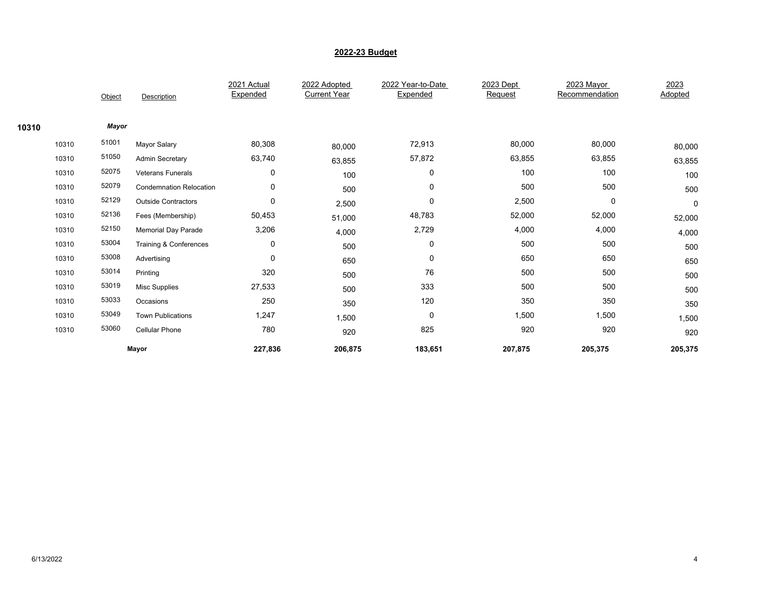|       |       |        |                                | 2021 Actual | 2022 Adopted        | 2022 Year-to-Date | 2023 Dept | 2023 Mayor     | 2023      |  |
|-------|-------|--------|--------------------------------|-------------|---------------------|-------------------|-----------|----------------|-----------|--|
|       |       | Object | Description                    | Expended    | <b>Current Year</b> | Expended          | Request   | Recommendation | Adopted   |  |
|       |       |        |                                |             |                     |                   |           |                |           |  |
| 10310 |       | Mayor  |                                |             |                     |                   |           |                |           |  |
|       | 10310 | 51001  | Mayor Salary                   | 80,308      | 80,000              | 72,913            | 80,000    | 80,000         | 80,000    |  |
|       | 10310 | 51050  | <b>Admin Secretary</b>         | 63,740      | 63,855              | 57,872            | 63,855    | 63,855         | 63,855    |  |
|       | 10310 | 52075  | <b>Veterans Funerals</b>       | $\mathbf 0$ | 100                 | 0                 | 100       | 100            | 100       |  |
|       | 10310 | 52079  | <b>Condemnation Relocation</b> | 0           | 500                 | 0                 | 500       | 500            | 500       |  |
|       | 10310 | 52129  | <b>Outside Contractors</b>     | 0           | 2,500               | 0                 | 2,500     | 0              | $\pmb{0}$ |  |
|       | 10310 | 52136  | Fees (Membership)              | 50,453      | 51,000              | 48,783            | 52,000    | 52,000         | 52,000    |  |
|       | 10310 | 52150  | <b>Memorial Day Parade</b>     | 3,206       | 4,000               | 2,729             | 4,000     | 4,000          | 4,000     |  |
|       | 10310 | 53004  | Training & Conferences         | 0           | 500                 | 0                 | 500       | 500            | 500       |  |
|       | 10310 | 53008  | Advertising                    | $\mathbf 0$ | 650                 | 0                 | 650       | 650            | 650       |  |
|       | 10310 | 53014  | Printing                       | 320         | 500                 | 76                | 500       | 500            | 500       |  |
|       | 10310 | 53019  | <b>Misc Supplies</b>           | 27,533      | 500                 | 333               | 500       | 500            | 500       |  |
|       | 10310 | 53033  | Occasions                      | 250         | 350                 | 120               | 350       | 350            | 350       |  |
|       | 10310 | 53049  | <b>Town Publications</b>       | 1,247       | 1,500               | 0                 | 1,500     | 1,500          | 1,500     |  |
|       | 10310 | 53060  | Cellular Phone                 | 780         | 920                 | 825               | 920       | 920            | 920       |  |
|       |       |        | Mayor                          | 227,836     | 206,875             | 183,651           | 207,875   | 205,375        | 205,375   |  |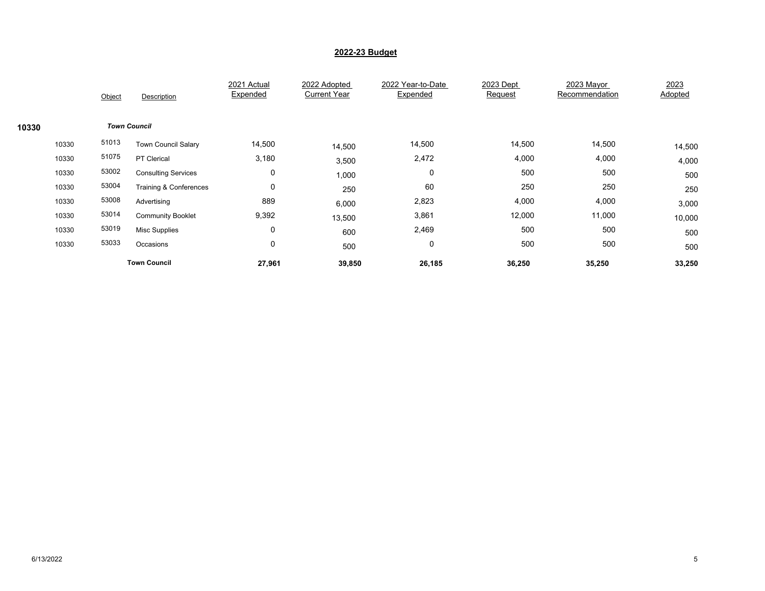|       |       | Object              | Description                | 2021 Actual<br>Expended | 2022 Adopted<br><b>Current Year</b> | 2022 Year-to-Date<br>Expended | 2023 Dept<br>Request | 2023 Mayor<br>Recommendation | 2023<br>Adopted |  |
|-------|-------|---------------------|----------------------------|-------------------------|-------------------------------------|-------------------------------|----------------------|------------------------------|-----------------|--|
| 10330 |       | <b>Town Council</b> |                            |                         |                                     |                               |                      |                              |                 |  |
|       | 10330 | 51013               | <b>Town Council Salary</b> | 14,500                  | 14,500                              | 14,500                        | 14,500               | 14,500                       | 14,500          |  |
|       | 10330 | 51075               | PT Clerical                | 3,180                   | 3,500                               | 2,472                         | 4,000                | 4,000                        | 4,000           |  |
|       | 10330 | 53002               | <b>Consulting Services</b> | 0                       | 1,000                               | 0                             | 500                  | 500                          | 500             |  |
|       | 10330 | 53004               | Training & Conferences     | 0                       | 250                                 | 60                            | 250                  | 250                          | 250             |  |
|       | 10330 | 53008               | Advertising                | 889                     | 6,000                               | 2,823                         | 4,000                | 4,000                        | 3,000           |  |
|       | 10330 | 53014               | <b>Community Booklet</b>   | 9,392                   | 13,500                              | 3,861                         | 12,000               | 11,000                       | 10,000          |  |
|       | 10330 | 53019               | <b>Misc Supplies</b>       | $\mathbf 0$             | 600                                 | 2,469                         | 500                  | 500                          | 500             |  |
|       | 10330 | 53033               | Occasions                  | 0                       | 500                                 | 0                             | 500                  | 500                          | 500             |  |
|       |       |                     | <b>Town Council</b>        | 27,961                  | 39,850                              | 26,185                        | 36,250               | 35,250                       | 33,250          |  |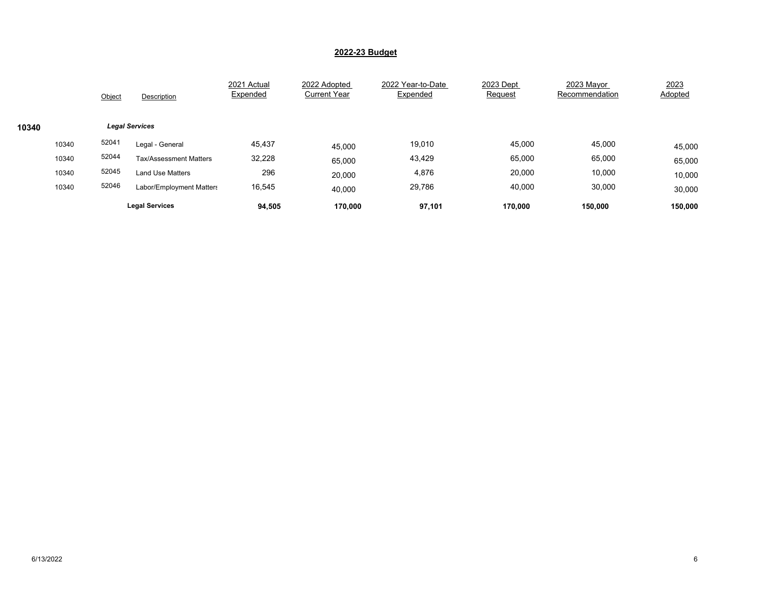|       |       | Object | Description                   | 2021 Actual<br>Expended | 2022 Adopted<br><b>Current Year</b> | 2022 Year-to-Date<br>Expended | 2023 Dept<br>Request | 2023 Mayor<br>Recommendation | 2023<br><b>Adopted</b> |
|-------|-------|--------|-------------------------------|-------------------------|-------------------------------------|-------------------------------|----------------------|------------------------------|------------------------|
| 10340 |       |        | <b>Legal Services</b>         |                         |                                     |                               |                      |                              |                        |
|       | 10340 | 52041  | Legal - General               | 45,437                  | 45,000                              | 19,010                        | 45,000               | 45,000                       | 45,000                 |
|       | 10340 | 52044  | <b>Tax/Assessment Matters</b> | 32,228                  | 65,000                              | 43,429                        | 65,000               | 65,000                       | 65,000                 |
|       | 10340 | 52045  | <b>Land Use Matters</b>       | 296                     | 20,000                              | 4,876                         | 20,000               | 10,000                       | 10,000                 |
|       | 10340 | 52046  | Labor/Employment Matters      | 16,545                  | 40,000                              | 29,786                        | 40,000               | 30,000                       | 30,000                 |
|       |       |        | <b>Legal Services</b>         | 94,505                  | 170,000                             | 97,101                        | 170.000              | 150.000                      | 150,000                |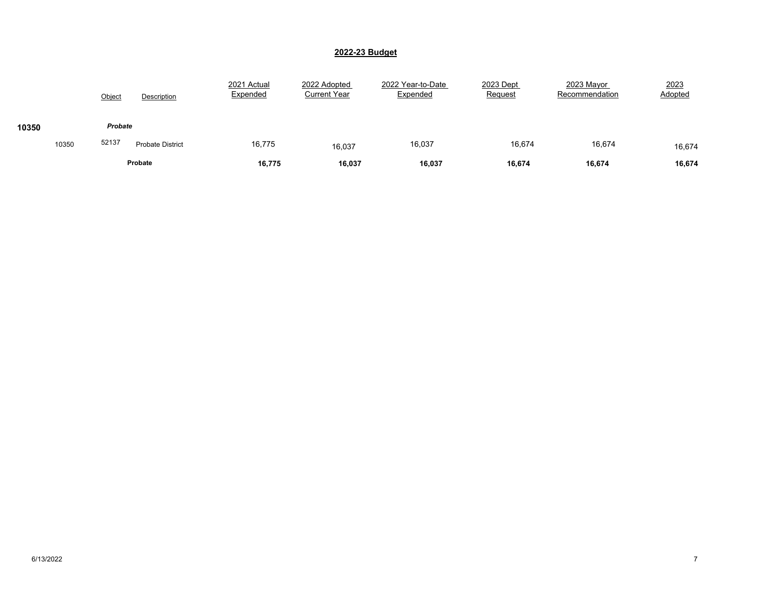|       |       | Object  | Description             | 2021 Actual<br>Expended | 2022 Adopted<br><b>Current Year</b> | 2022 Year-to-Date<br>Expended | 2023 Dept<br><b>Request</b> | 2023 Mayor<br>Recommendation | 2023<br>Adopted |
|-------|-------|---------|-------------------------|-------------------------|-------------------------------------|-------------------------------|-----------------------------|------------------------------|-----------------|
| 10350 |       | Probate |                         |                         |                                     |                               |                             |                              |                 |
|       | 10350 | 52137   | <b>Probate District</b> | 16,775                  | 16,037                              | 16,037                        | 16,674                      | 16,674                       | 16,674          |
|       |       |         | Probate                 | 16,775                  | 16,037                              | 16,037                        | 16,674                      | 16,674                       | 16,674          |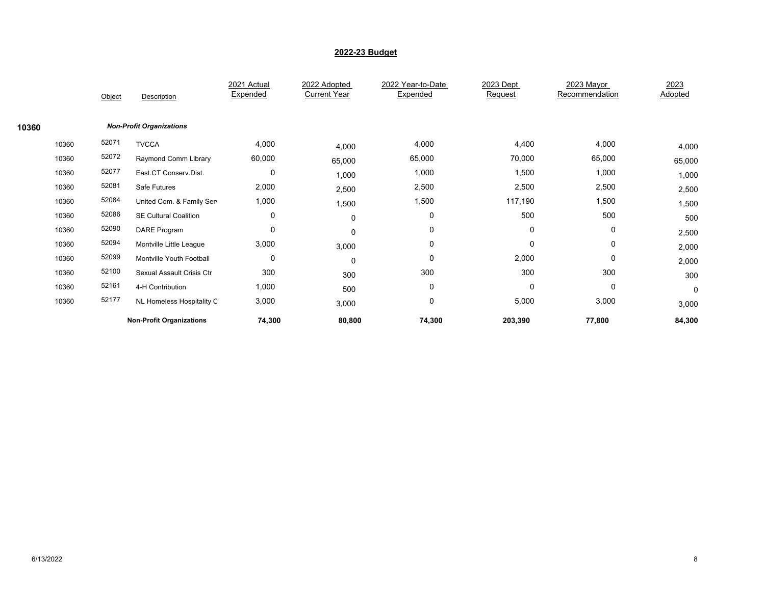|       |       | Object | Description                     | 2021 Actual<br>Expended | 2022 Adopted<br><b>Current Year</b> | 2022 Year-to-Date<br>Expended | 2023 Dept<br>Request | 2023 Mayor<br>Recommendation | 2023<br>Adopted |
|-------|-------|--------|---------------------------------|-------------------------|-------------------------------------|-------------------------------|----------------------|------------------------------|-----------------|
|       |       |        |                                 |                         |                                     |                               |                      |                              |                 |
| 10360 |       |        | <b>Non-Profit Organizations</b> |                         |                                     |                               |                      |                              |                 |
|       | 10360 | 52071  | <b>TVCCA</b>                    | 4,000                   | 4,000                               | 4,000                         | 4,400                | 4,000                        | 4,000           |
|       | 10360 | 52072  | Raymond Comm Library            | 60,000                  | 65,000                              | 65,000                        | 70,000               | 65,000                       | 65,000          |
|       | 10360 | 52077  | East.CT Conserv.Dist.           | 0                       | 1,000                               | 1,000                         | 1,500                | 1,000                        | 1,000           |
|       | 10360 | 52081  | Safe Futures                    | 2,000                   | 2,500                               | 2,500                         | 2,500                | 2,500                        | 2,500           |
|       | 10360 | 52084  | United Com. & Family Sen        | 1,000                   | 1,500                               | 1,500                         | 117,190              | 1,500                        | 1,500           |
|       | 10360 | 52086  | <b>SE Cultural Coalition</b>    | 0                       | 0                                   | 0                             | 500                  | 500                          | 500             |
|       | 10360 | 52090  | <b>DARE Program</b>             | 0                       | 0                                   | 0                             | 0                    | 0                            | 2,500           |
|       | 10360 | 52094  | Montville Little League         | 3,000                   | 3,000                               | 0                             | $\mathbf 0$          | 0                            | 2,000           |
|       | 10360 | 52099  | Montville Youth Football        | 0                       | 0                                   | $\mathbf 0$                   | 2,000                | 0                            | 2,000           |
|       | 10360 | 52100  | Sexual Assault Crisis Ctr       | 300                     | 300                                 | 300                           | 300                  | 300                          | 300             |
|       | 10360 | 52161  | 4-H Contribution                | 1,000                   | 500                                 | $\mathbf 0$                   | $\mathbf 0$          | $\mathbf 0$                  | $\mathbf 0$     |
|       | 10360 | 52177  | NL Homeless Hospitality C       | 3,000                   | 3,000                               | $\mathbf 0$                   | 5,000                | 3,000                        | 3,000           |
|       |       |        | <b>Non-Profit Organizations</b> | 74,300                  | 80,800                              | 74,300                        | 203,390              | 77,800                       | 84,300          |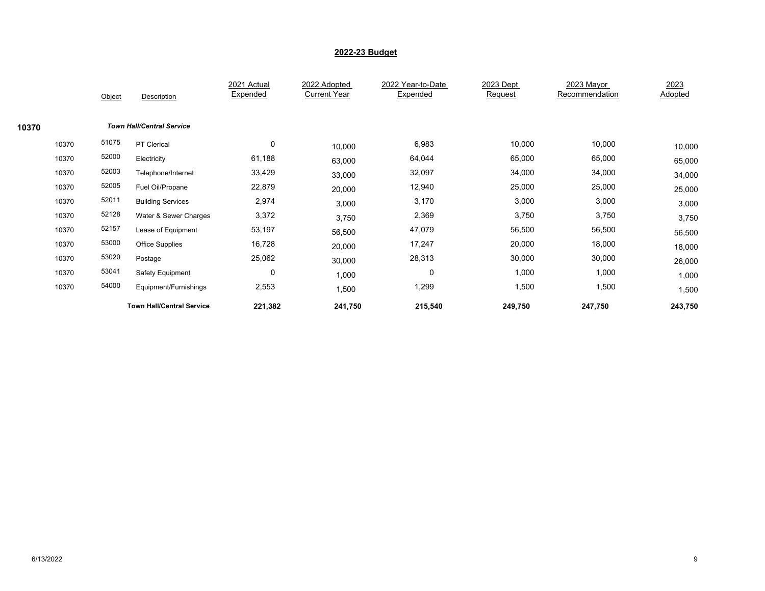|       |       | Object | Description                      | 2021 Actual<br>Expended | 2022 Adopted<br><b>Current Year</b> | 2022 Year-to-Date<br>Expended | 2023 Dept<br>Request | 2023 Mayor<br>Recommendation | 2023<br>Adopted |
|-------|-------|--------|----------------------------------|-------------------------|-------------------------------------|-------------------------------|----------------------|------------------------------|-----------------|
|       |       |        |                                  |                         |                                     |                               |                      |                              |                 |
| 10370 |       |        | <b>Town Hall/Central Service</b> |                         |                                     |                               |                      |                              |                 |
|       | 10370 | 51075  | PT Clerical                      | $\mathbf 0$             | 10,000                              | 6,983                         | 10,000               | 10,000                       | 10,000          |
|       | 10370 | 52000  | Electricity                      | 61,188                  | 63,000                              | 64,044                        | 65,000               | 65,000                       | 65,000          |
|       | 10370 | 52003  | Telephone/Internet               | 33,429                  | 33,000                              | 32,097                        | 34,000               | 34,000                       | 34,000          |
|       | 10370 | 52005  | Fuel Oil/Propane                 | 22,879                  | 20,000                              | 12,940                        | 25,000               | 25,000                       | 25,000          |
|       | 10370 | 52011  | <b>Building Services</b>         | 2,974                   | 3,000                               | 3,170                         | 3,000                | 3,000                        | 3,000           |
|       | 10370 | 52128  | Water & Sewer Charges            | 3,372                   | 3,750                               | 2,369                         | 3,750                | 3,750                        | 3,750           |
|       | 10370 | 52157  | Lease of Equipment               | 53,197                  | 56,500                              | 47,079                        | 56,500               | 56,500                       | 56,500          |
|       | 10370 | 53000  | <b>Office Supplies</b>           | 16,728                  | 20,000                              | 17,247                        | 20,000               | 18,000                       | 18,000          |
|       | 10370 | 53020  | Postage                          | 25,062                  | 30,000                              | 28,313                        | 30,000               | 30,000                       | 26,000          |
|       | 10370 | 53041  | Safety Equipment                 | $\mathbf 0$             | 1,000                               | 0                             | 1,000                | 1,000                        | 1,000           |
|       | 10370 | 54000  | Equipment/Furnishings            | 2,553                   | 1,500                               | 1,299                         | 1,500                | 1,500                        | 1,500           |
|       |       |        | <b>Town Hall/Central Service</b> | 221,382                 | 241,750                             | 215,540                       | 249,750              | 247,750                      | 243,750         |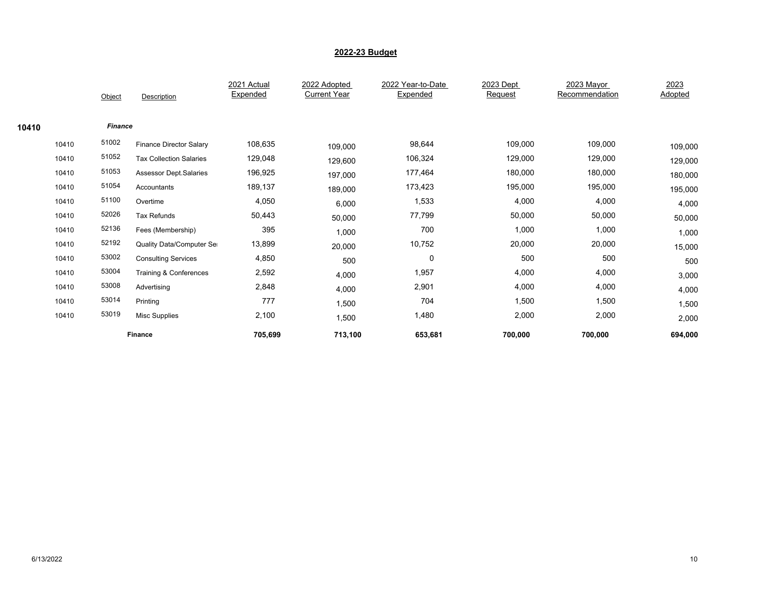|       |       |                |                                  | 2021 Actual | 2022 Adopted        | 2022 Year-to-Date | 2023 Dept | 2023 Mayor     | 2023    |
|-------|-------|----------------|----------------------------------|-------------|---------------------|-------------------|-----------|----------------|---------|
|       |       | Object         | Description                      | Expended    | <b>Current Year</b> | Expended          | Request   | Recommendation | Adopted |
| 10410 |       | <b>Finance</b> |                                  |             |                     |                   |           |                |         |
|       | 10410 | 51002          | <b>Finance Director Salary</b>   | 108,635     | 109,000             | 98,644            | 109,000   | 109,000        | 109,000 |
|       | 10410 | 51052          | <b>Tax Collection Salaries</b>   | 129,048     | 129,600             | 106,324           | 129,000   | 129,000        | 129,000 |
|       | 10410 | 51053          | Assessor Dept.Salaries           | 196,925     | 197,000             | 177,464           | 180,000   | 180,000        | 180,000 |
|       | 10410 | 51054          | Accountants                      | 189,137     | 189,000             | 173,423           | 195,000   | 195,000        | 195,000 |
|       | 10410 | 51100          | Overtime                         | 4,050       | 6,000               | 1,533             | 4,000     | 4,000          | 4,000   |
|       | 10410 | 52026          | <b>Tax Refunds</b>               | 50,443      | 50,000              | 77,799            | 50,000    | 50,000         | 50,000  |
|       | 10410 | 52136          | Fees (Membership)                | 395         | 1,000               | 700               | 1,000     | 1,000          | 1,000   |
|       | 10410 | 52192          | <b>Quality Data/Computer Ser</b> | 13,899      | 20,000              | 10,752            | 20,000    | 20,000         | 15,000  |
|       | 10410 | 53002          | <b>Consulting Services</b>       | 4,850       | 500                 | 0                 | 500       | 500            | 500     |
|       | 10410 | 53004          | Training & Conferences           | 2,592       | 4,000               | 1,957             | 4,000     | 4,000          | 3,000   |
|       | 10410 | 53008          | Advertising                      | 2,848       | 4,000               | 2,901             | 4,000     | 4,000          | 4,000   |
|       | 10410 | 53014          | Printing                         | 777         | 1,500               | 704               | 1,500     | 1,500          | 1,500   |
|       | 10410 | 53019          | Misc Supplies                    | 2,100       | 1,500               | 1,480             | 2,000     | 2,000          | 2,000   |
|       |       |                | Finance                          | 705,699     | 713,100             | 653,681           | 700,000   | 700,000        | 694,000 |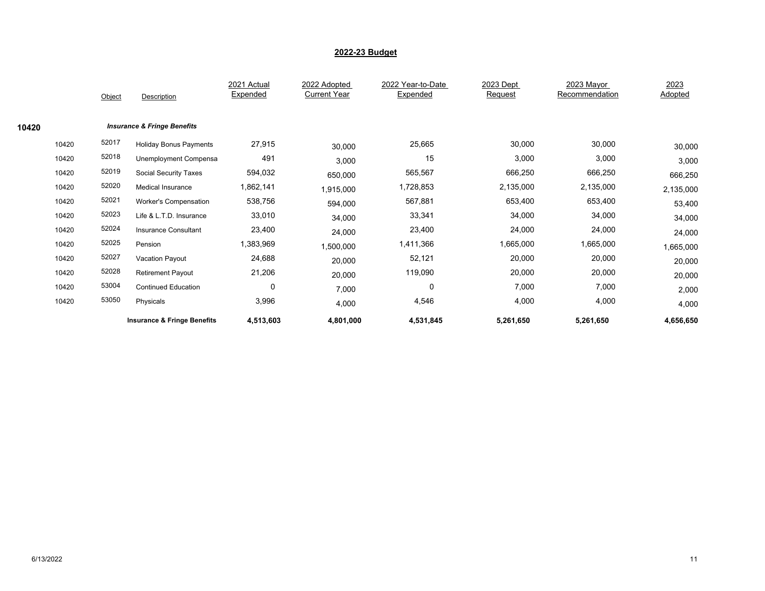|       | Object |         | Description                            | 2021 Actual<br>Expended | 2022 Adopted<br><b>Current Year</b> | 2022 Year-to-Date<br>Expended | 2023 Dept<br>Request | 2023 Mayor<br>Recommendation | 2023<br>Adopted |
|-------|--------|---------|----------------------------------------|-------------------------|-------------------------------------|-------------------------------|----------------------|------------------------------|-----------------|
| 10420 |        |         | <b>Insurance &amp; Fringe Benefits</b> |                         |                                     |                               |                      |                              |                 |
| 10420 | 52017  |         | <b>Holiday Bonus Payments</b>          | 27,915                  | 30,000                              | 25,665                        | 30,000               | 30,000                       | 30,000          |
| 10420 | 52018  |         | Unemployment Compensa                  | 491                     | 3,000                               | 15                            | 3,000                | 3,000                        | 3,000           |
| 10420 | 52019  |         | Social Security Taxes                  | 594,032                 | 650,000                             | 565,567                       | 666,250              | 666,250                      | 666,250         |
| 10420 | 52020  |         | <b>Medical Insurance</b>               | 1,862,141               | 1,915,000                           | 1,728,853                     | 2,135,000            | 2,135,000                    | 2,135,000       |
| 10420 | 52021  |         | Worker's Compensation                  | 538,756                 | 594,000                             | 567,881                       | 653,400              | 653,400                      | 53,400          |
| 10420 | 52023  |         | Life & L.T.D. Insurance                | 33,010                  | 34,000                              | 33,341                        | 34,000               | 34,000                       | 34,000          |
| 10420 | 52024  |         | Insurance Consultant                   | 23,400                  | 24,000                              | 23,400                        | 24,000               | 24,000                       | 24,000          |
| 10420 | 52025  | Pension |                                        | 1,383,969               | 1,500,000                           | 1,411,366                     | 1,665,000            | 1,665,000                    | 1,665,000       |
| 10420 | 52027  |         | Vacation Payout                        | 24,688                  | 20,000                              | 52,121                        | 20,000               | 20,000                       | 20,000          |
| 10420 | 52028  |         | <b>Retirement Payout</b>               | 21,206                  | 20,000                              | 119,090                       | 20,000               | 20,000                       | 20,000          |
| 10420 | 53004  |         | <b>Continued Education</b>             | $\mathbf 0$             | 7,000                               | $\mathbf 0$                   | 7,000                | 7,000                        | 2,000           |
| 10420 | 53050  |         | Physicals                              | 3,996                   | 4,000                               | 4,546                         | 4,000                | 4,000                        | 4,000           |
|       |        |         | <b>Insurance &amp; Fringe Benefits</b> | 4,513,603               | 4,801,000                           | 4,531,845                     | 5,261,650            | 5,261,650                    | 4,656,650       |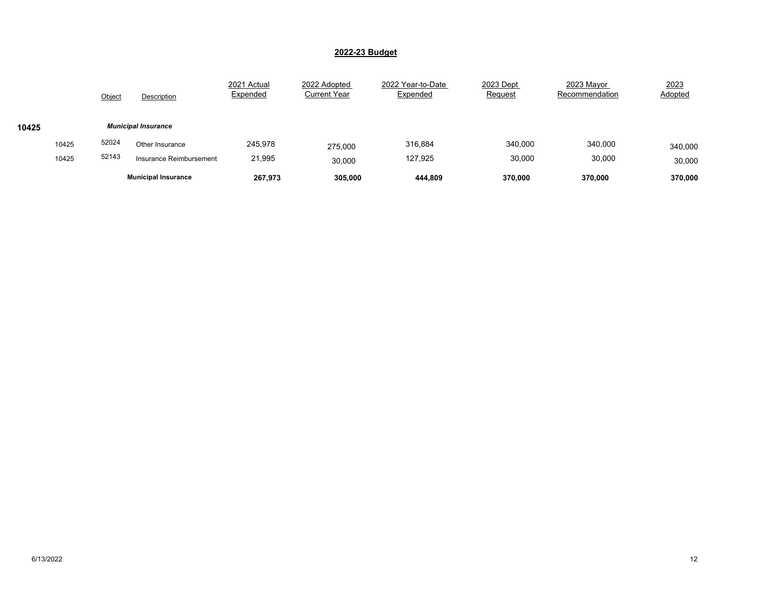|       |       | Object | Description                | 2021 Actual<br>Expended | 2022 Adopted<br><b>Current Year</b> | 2022 Year-to-Date<br>Expended | 2023 Dept<br><b>Request</b> | 2023 Mayor<br>Recommendation | 2023<br>Adopted |
|-------|-------|--------|----------------------------|-------------------------|-------------------------------------|-------------------------------|-----------------------------|------------------------------|-----------------|
| 10425 |       |        | <b>Municipal Insurance</b> |                         |                                     |                               |                             |                              |                 |
|       | 10425 | 52024  | Other Insurance            | 245.978                 | 275,000                             | 316,884                       | 340,000                     | 340,000                      | 340,000         |
|       | 10425 | 52143  | Insurance Reimbursement    | 21,995                  | 30.000                              | 127,925                       | 30,000                      | 30,000                       | 30,000          |
|       |       |        | <b>Municipal Insurance</b> | 267,973                 | 305,000                             | 444,809                       | 370.000                     | 370,000                      | 370,000         |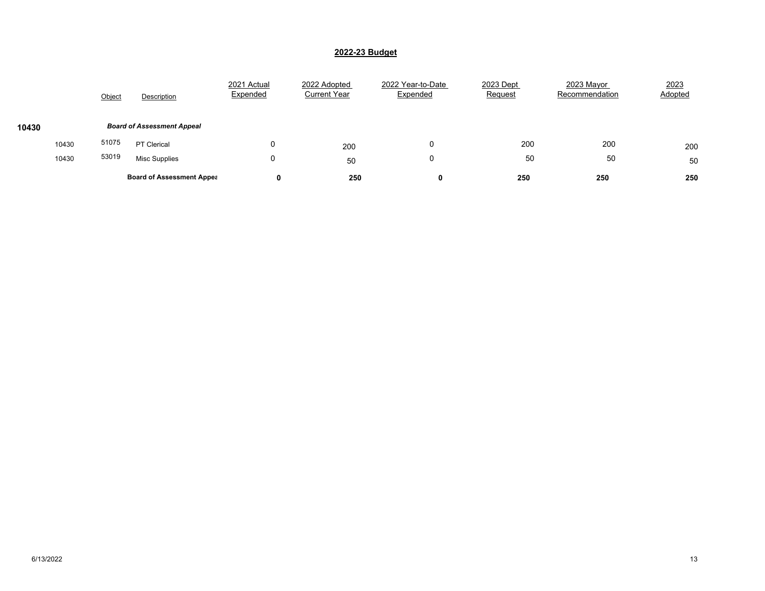|       |       | Object | Description                       | 2021 Actual<br>Expended | 2022 Adopted<br><b>Current Year</b> | 2022 Year-to-Date<br>Expended | 2023 Dept<br>Request | 2023 Mayor<br>Recommendation | 2023<br>Adopted |
|-------|-------|--------|-----------------------------------|-------------------------|-------------------------------------|-------------------------------|----------------------|------------------------------|-----------------|
| 10430 |       |        | <b>Board of Assessment Appeal</b> |                         |                                     |                               |                      |                              |                 |
|       | 10430 | 51075  | <b>PT Clerical</b>                |                         | 200                                 | 0                             | 200                  | 200                          | 200             |
|       | 10430 | 53019  | <b>Misc Supplies</b>              | υ                       | 50                                  | 0                             | 50                   | 50                           | 50              |
|       |       |        | <b>Board of Assessment Appea</b>  | 0                       | 250                                 |                               | 250                  | 250                          | 250             |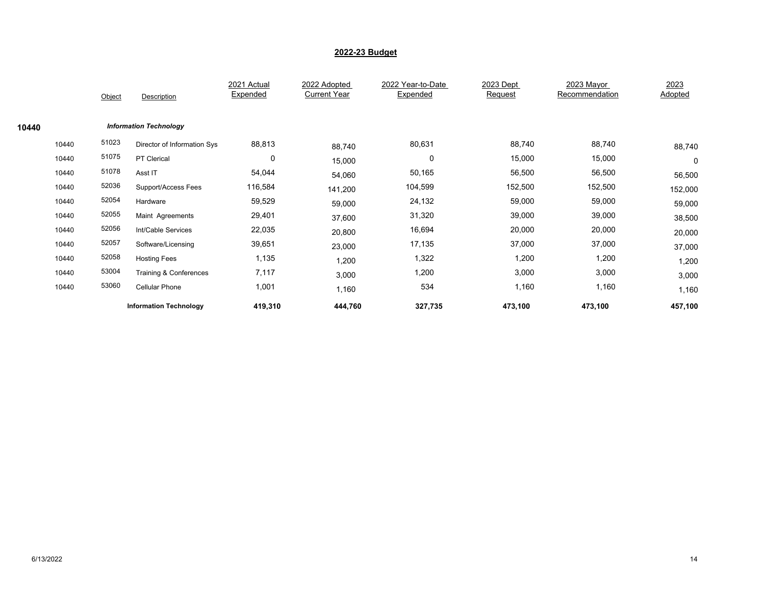|       |       | Object | Description                   | 2021 Actual<br>Expended | 2022 Adopted<br><b>Current Year</b> | 2022 Year-to-Date<br>Expended | 2023 Dept<br>Request | 2023 Mayor<br>Recommendation | 2023<br>Adopted |
|-------|-------|--------|-------------------------------|-------------------------|-------------------------------------|-------------------------------|----------------------|------------------------------|-----------------|
| 10440 |       |        | <b>Information Technology</b> |                         |                                     |                               |                      |                              |                 |
|       | 10440 | 51023  | Director of Information Sys   | 88,813                  | 88,740                              | 80,631                        | 88,740               | 88,740                       | 88,740          |
|       | 10440 | 51075  | PT Clerical                   | $\mathbf 0$             | 15,000                              | 0                             | 15,000               | 15,000                       | 0               |
|       | 10440 | 51078  | Asst IT                       | 54,044                  | 54,060                              | 50,165                        | 56,500               | 56,500                       | 56,500          |
|       | 10440 | 52036  | Support/Access Fees           | 116,584                 | 141,200                             | 104,599                       | 152,500              | 152,500                      | 152,000         |
|       | 10440 | 52054  | Hardware                      | 59,529                  | 59,000                              | 24,132                        | 59,000               | 59,000                       | 59,000          |
|       | 10440 | 52055  | Maint Agreements              | 29,401                  | 37,600                              | 31,320                        | 39,000               | 39,000                       | 38,500          |
|       | 10440 | 52056  | Int/Cable Services            | 22,035                  | 20,800                              | 16,694                        | 20,000               | 20,000                       | 20,000          |
|       | 10440 | 52057  | Software/Licensing            | 39,651                  | 23,000                              | 17,135                        | 37,000               | 37,000                       | 37,000          |
|       | 10440 | 52058  | <b>Hosting Fees</b>           | 1,135                   | 1,200                               | 1,322                         | 1,200                | 1,200                        | 1,200           |
|       | 10440 | 53004  | Training & Conferences        | 7,117                   | 3,000                               | 1,200                         | 3,000                | 3,000                        | 3,000           |
|       | 10440 | 53060  | <b>Cellular Phone</b>         | 1,001                   | 1,160                               | 534                           | 1,160                | 1,160                        | 1,160           |
|       |       |        | <b>Information Technology</b> | 419,310                 | 444,760                             | 327,735                       | 473,100              | 473,100                      | 457,100         |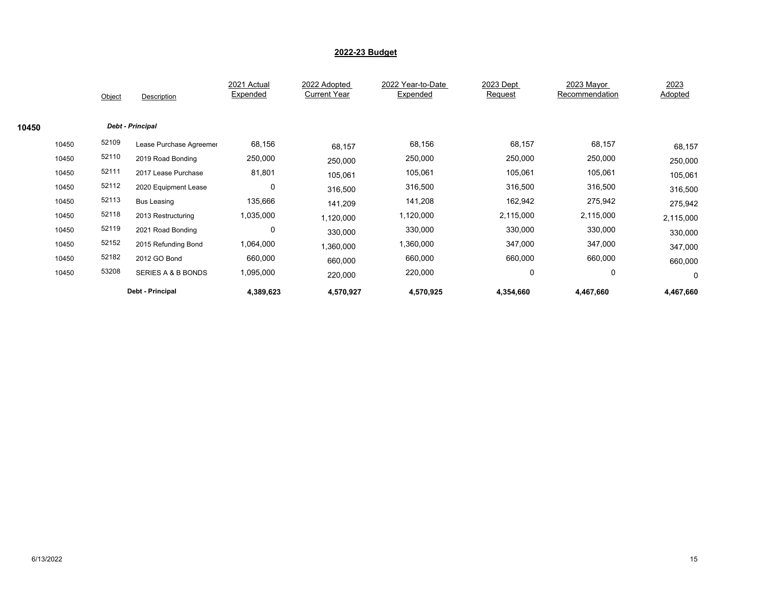|       |       | Object | Description                   | 2021 Actual<br>Expended | 2022 Adopted<br><b>Current Year</b> | 2022 Year-to-Date<br>Expended | 2023 Dept<br>Request | 2023 Mayor<br>Recommendation | 2023<br>Adopted |
|-------|-------|--------|-------------------------------|-------------------------|-------------------------------------|-------------------------------|----------------------|------------------------------|-----------------|
| 10450 |       |        | <b>Debt - Principal</b>       |                         |                                     |                               |                      |                              |                 |
|       | 10450 | 52109  | Lease Purchase Agreemer       | 68,156                  | 68,157                              | 68,156                        | 68,157               | 68,157                       | 68,157          |
|       | 10450 | 52110  | 2019 Road Bonding             | 250,000                 | 250,000                             | 250,000                       | 250,000              | 250,000                      | 250,000         |
|       | 10450 | 52111  | 2017 Lease Purchase           | 81,801                  | 105,061                             | 105,061                       | 105,061              | 105,061                      | 105,061         |
|       | 10450 | 52112  | 2020 Equipment Lease          | 0                       | 316,500                             | 316,500                       | 316,500              | 316,500                      | 316,500         |
|       | 10450 | 52113  | <b>Bus Leasing</b>            | 135,666                 | 141,209                             | 141,208                       | 162,942              | 275,942                      | 275,942         |
|       | 10450 | 52118  | 2013 Restructuring            | 1,035,000               | 1,120,000                           | 1,120,000                     | 2,115,000            | 2,115,000                    | 2,115,000       |
|       | 10450 | 52119  | 2021 Road Bonding             | $\mathbf 0$             | 330,000                             | 330,000                       | 330,000              | 330,000                      | 330,000         |
|       | 10450 | 52152  | 2015 Refunding Bond           | 1,064,000               | 1,360,000                           | 1,360,000                     | 347,000              | 347,000                      | 347,000         |
|       | 10450 | 52182  | 2012 GO Bond                  | 660,000                 | 660,000                             | 660,000                       | 660,000              | 660,000                      | 660,000         |
|       | 10450 | 53208  | <b>SERIES A &amp; B BONDS</b> | 1,095,000               | 220,000                             | 220,000                       | 0                    | 0                            | 0               |
|       |       |        | Debt - Principal              | 4,389,623               | 4,570,927                           | 4,570,925                     | 4,354,660            | 4,467,660                    | 4,467,660       |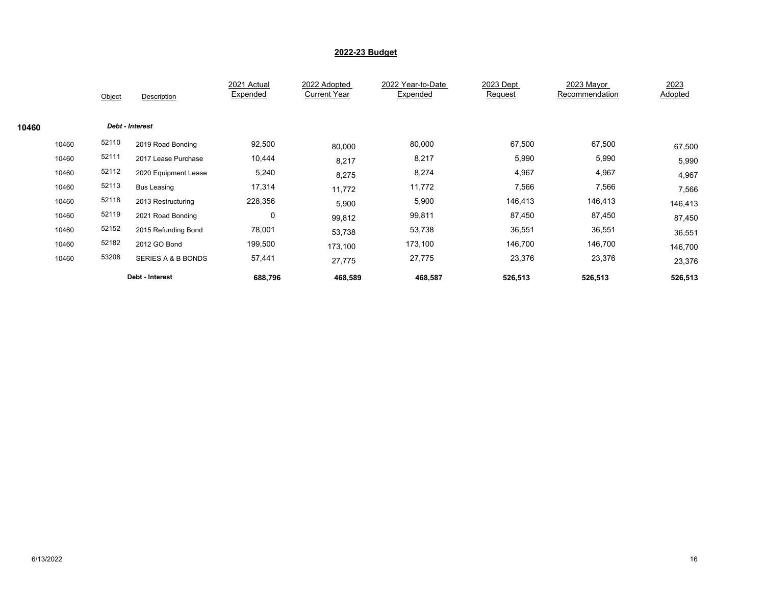|       |       | Object          | Description                   | 2021 Actual<br>Expended | 2022 Adopted<br><b>Current Year</b> | 2022 Year-to-Date<br>Expended | 2023 Dept<br>Request | 2023 Mayor<br>Recommendation | 2023<br>Adopted |
|-------|-------|-----------------|-------------------------------|-------------------------|-------------------------------------|-------------------------------|----------------------|------------------------------|-----------------|
| 10460 |       | Debt - Interest |                               |                         |                                     |                               |                      |                              |                 |
|       | 10460 | 52110           | 2019 Road Bonding             | 92,500                  | 80,000                              | 80,000                        | 67,500               | 67,500                       | 67,500          |
|       | 10460 | 52111           | 2017 Lease Purchase           | 10,444                  | 8,217                               | 8,217                         | 5,990                | 5,990                        | 5,990           |
|       | 10460 | 52112           | 2020 Equipment Lease          | 5,240                   | 8,275                               | 8,274                         | 4,967                | 4,967                        | 4,967           |
|       | 10460 | 52113           | <b>Bus Leasing</b>            | 17,314                  | 11,772                              | 11,772                        | 7,566                | 7,566                        | 7,566           |
|       | 10460 | 52118           | 2013 Restructuring            | 228,356                 | 5,900                               | 5,900                         | 146,413              | 146,413                      | 146,413         |
|       | 10460 | 52119           | 2021 Road Bonding             | $\mathbf 0$             | 99,812                              | 99,811                        | 87,450               | 87,450                       | 87,450          |
|       | 10460 | 52152           | 2015 Refunding Bond           | 78,001                  | 53,738                              | 53,738                        | 36,551               | 36,551                       | 36,551          |
|       | 10460 | 52182           | 2012 GO Bond                  | 199,500                 | 173.100                             | 173,100                       | 146,700              | 146,700                      | 146,700         |
|       | 10460 | 53208           | <b>SERIES A &amp; B BONDS</b> | 57,441                  | 27,775                              | 27,775                        | 23,376               | 23,376                       | 23,376          |
|       |       |                 | Debt - Interest               | 688,796                 | 468,589                             | 468,587                       | 526,513              | 526,513                      | 526,513         |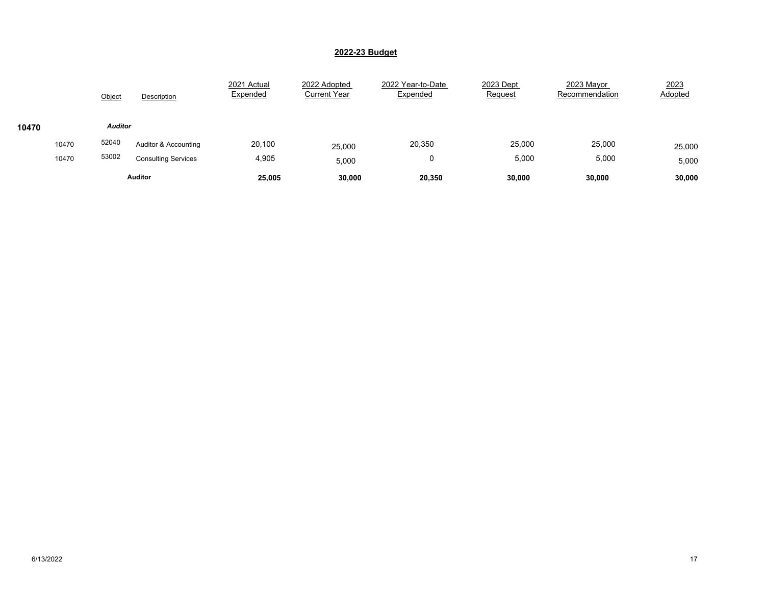|       |                                              | Object         | Description          | 2021 Actual<br>Expended | 2022 Adopted<br><b>Current Year</b> | 2022 Year-to-Date<br>Expended | 2023 Dept<br>Request | 2023 Mayor<br>Recommendation | 2023<br>Adopted |
|-------|----------------------------------------------|----------------|----------------------|-------------------------|-------------------------------------|-------------------------------|----------------------|------------------------------|-----------------|
| 10470 |                                              | <b>Auditor</b> |                      |                         |                                     |                               |                      |                              |                 |
|       | 10470                                        | 52040          | Auditor & Accounting | 20,100                  | 25,000                              | 20,350                        | 25,000               | 25,000                       | 25,000          |
|       | 53002<br>10470<br><b>Consulting Services</b> |                |                      | 4,905                   | 5,000                               | 0                             | 5,000                | 5,000                        | 5,000           |
|       | <b>Auditor</b>                               |                | 25,005               | 30,000                  | 20,350                              | 30,000                        | 30,000               | 30,000                       |                 |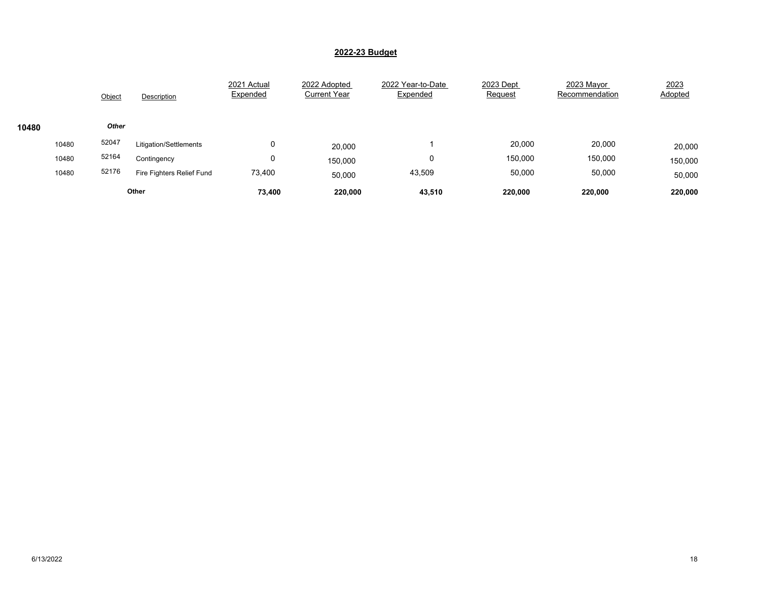|       |       | Object       | Description               | 2021 Actual<br>Expended | 2022 Adopted<br><b>Current Year</b> | 2022 Year-to-Date<br>Expended | 2023 Dept<br>Request | 2023 Mayor<br>Recommendation | 2023<br>Adopted |
|-------|-------|--------------|---------------------------|-------------------------|-------------------------------------|-------------------------------|----------------------|------------------------------|-----------------|
| 10480 |       | <b>Other</b> |                           |                         |                                     |                               |                      |                              |                 |
|       | 10480 | 52047        | Litigation/Settlements    | υ                       | 20,000                              |                               | 20,000               | 20,000                       | 20,000          |
|       | 10480 | 52164        | Contingency               | υ                       | 150,000                             | 0                             | 150,000              | 150,000                      | 150,000         |
|       | 10480 | 52176        | Fire Fighters Relief Fund | 73,400                  | 50,000                              | 43,509                        | 50,000               | 50,000                       | 50,000          |
|       |       |              | Other                     | 73,400                  | 220,000                             | 43,510                        | 220.000              | 220,000                      | 220,000         |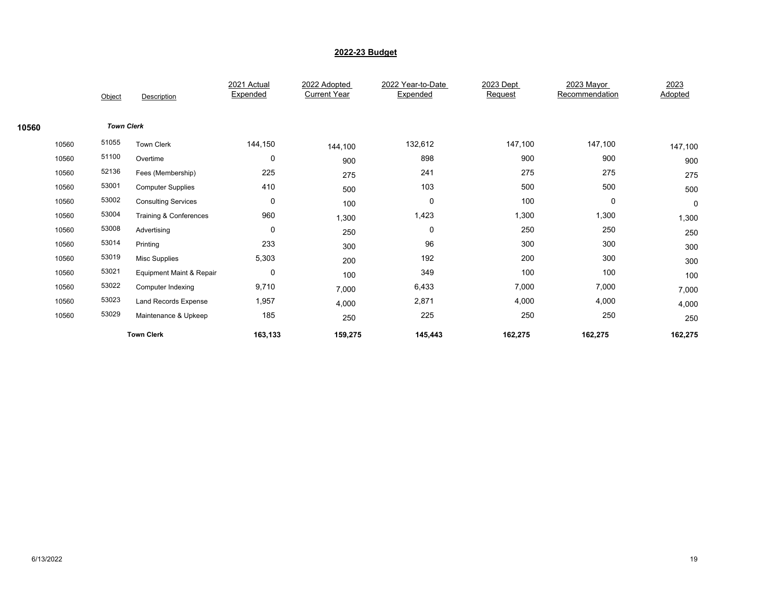|       |       | Object            | Description                 | 2021 Actual<br>Expended | 2022 Adopted<br><b>Current Year</b> | 2022 Year-to-Date<br>Expended | 2023 Dept<br>Request | 2023 Mayor<br>Recommendation | 2023<br>Adopted |
|-------|-------|-------------------|-----------------------------|-------------------------|-------------------------------------|-------------------------------|----------------------|------------------------------|-----------------|
|       |       |                   |                             |                         |                                     |                               |                      |                              |                 |
| 10560 |       | <b>Town Clerk</b> |                             |                         |                                     |                               |                      |                              |                 |
|       | 10560 | 51055             | <b>Town Clerk</b>           | 144,150                 | 144,100                             | 132,612                       | 147,100              | 147,100                      | 147,100         |
|       | 10560 | 51100             | Overtime                    | $\mathbf 0$             | 900                                 | 898                           | 900                  | 900                          | 900             |
|       | 10560 | 52136             | Fees (Membership)           | 225                     | 275                                 | 241                           | 275                  | 275                          | 275             |
|       | 10560 | 53001             | <b>Computer Supplies</b>    | 410                     | 500                                 | 103                           | 500                  | 500                          | 500             |
|       | 10560 | 53002             | <b>Consulting Services</b>  | $\mathbf 0$             | 100                                 | 0                             | 100                  | 0                            | 0               |
|       | 10560 | 53004             | Training & Conferences      | 960                     | 1,300                               | 1,423                         | 1,300                | 1,300                        | 1,300           |
|       | 10560 | 53008             | Advertising                 | $\mathbf 0$             | 250                                 | 0                             | 250                  | 250                          | 250             |
|       | 10560 | 53014             | Printing                    | 233                     | 300                                 | 96                            | 300                  | 300                          | 300             |
|       | 10560 | 53019             | <b>Misc Supplies</b>        | 5,303                   | 200                                 | 192                           | 200                  | 300                          | 300             |
|       | 10560 | 53021             | Equipment Maint & Repair    | $\mathbf 0$             | 100                                 | 349                           | 100                  | 100                          | 100             |
|       | 10560 | 53022             | Computer Indexing           | 9,710                   | 7,000                               | 6,433                         | 7,000                | 7,000                        | 7,000           |
|       | 10560 | 53023             | <b>Land Records Expense</b> | 1,957                   | 4,000                               | 2,871                         | 4,000                | 4,000                        | 4,000           |
|       | 10560 | 53029             | Maintenance & Upkeep        | 185                     | 250                                 | 225                           | 250                  | 250                          | 250             |
|       |       |                   | <b>Town Clerk</b>           | 163,133                 | 159,275                             | 145,443                       | 162,275              | 162,275                      | 162,275         |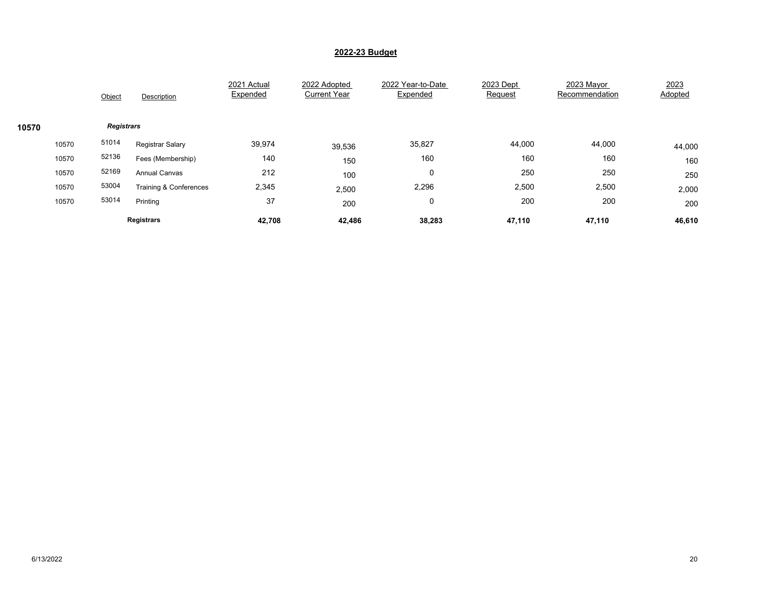|       |       | Object            | Description            | 2021 Actual<br>Expended | 2022 Adopted<br><b>Current Year</b> | 2022 Year-to-Date<br>Expended | 2023 Dept<br>Request | 2023 Mayor<br>Recommendation | 2023<br>Adopted |
|-------|-------|-------------------|------------------------|-------------------------|-------------------------------------|-------------------------------|----------------------|------------------------------|-----------------|
| 10570 |       | <b>Registrars</b> |                        |                         |                                     |                               |                      |                              |                 |
|       | 10570 | 51014             | Registrar Salary       | 39,974                  | 39,536                              | 35,827                        | 44,000               | 44,000                       | 44,000          |
|       | 10570 | 52136             | Fees (Membership)      | 140                     | 150                                 | 160                           | 160                  | 160                          | 160             |
|       | 10570 | 52169             | <b>Annual Canvas</b>   | 212                     | 100                                 | 0                             | 250                  | 250                          | 250             |
|       | 10570 | 53004             | Training & Conferences | 2,345                   | 2,500                               | 2,296                         | 2,500                | 2,500                        | 2,000           |
|       | 10570 | 53014             | Printing               | 37                      | 200                                 | 0                             | 200                  | 200                          | 200             |
|       |       |                   | <b>Registrars</b>      | 42,708                  | 42,486                              | 38,283                        | 47,110               | 47,110                       | 46,610          |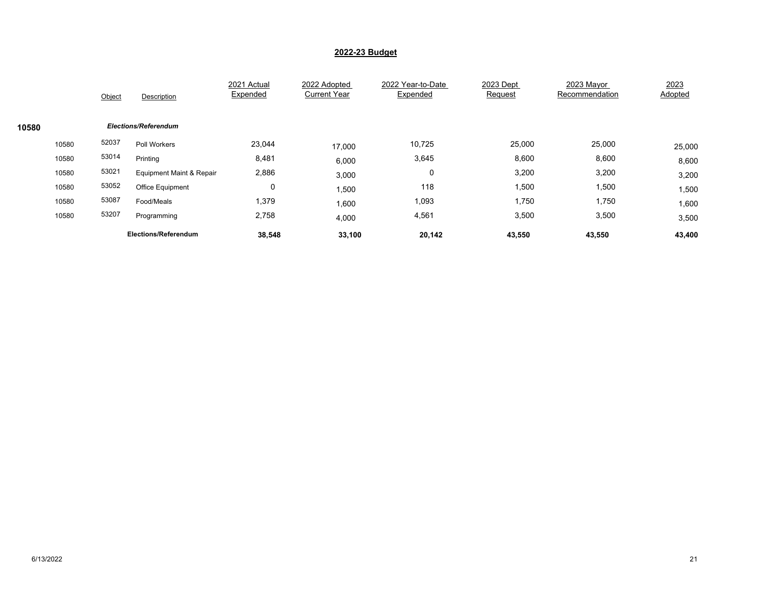|       | Object | Description                 | 2021 Actual<br>Expended | 2022 Adopted<br><b>Current Year</b> | 2022 Year-to-Date<br>Expended | 2023 Dept<br>Request | 2023 Mayor<br>Recommendation | 2023<br>Adopted |
|-------|--------|-----------------------------|-------------------------|-------------------------------------|-------------------------------|----------------------|------------------------------|-----------------|
| 10580 |        | <b>Elections/Referendum</b> |                         |                                     |                               |                      |                              |                 |
| 10580 | 52037  | Poll Workers                | 23,044                  | 17,000                              | 10,725                        | 25,000               | 25,000                       | 25,000          |
| 10580 | 53014  | Printing                    | 8,481                   | 6,000                               | 3,645                         | 8,600                | 8,600                        | 8,600           |
| 10580 | 53021  | Equipment Maint & Repair    | 2,886                   | 3,000                               | 0                             | 3,200                | 3,200                        | 3,200           |
| 10580 | 53052  | <b>Office Equipment</b>     | 0                       | 1,500                               | 118                           | 1,500                | 1,500                        | 1,500           |
| 10580 | 53087  | Food/Meals                  | 1,379                   | 1,600                               | 1,093                         | 1,750                | 1,750                        | 1,600           |
| 10580 | 53207  | Programming                 | 2,758                   | 4,000                               | 4,561                         | 3,500                | 3,500                        | 3,500           |
|       |        | <b>Elections/Referendum</b> | 38,548                  | 33,100                              | 20,142                        | 43,550               | 43,550                       | 43,400          |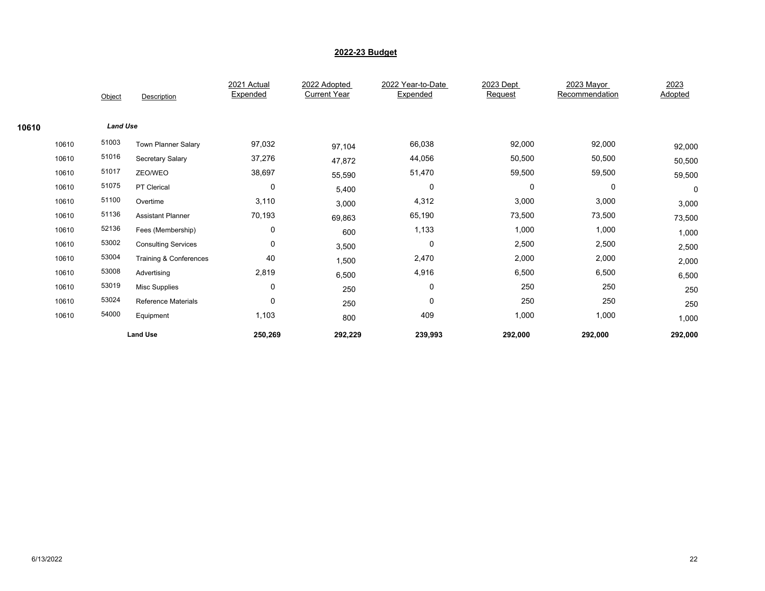|       |       |                 |                            | 2021 Actual<br>Expended | 2022 Adopted<br><b>Current Year</b> | 2022 Year-to-Date<br>Expended | 2023 Dept<br>Request | 2023 Mayor<br>Recommendation | 2023<br>Adopted |
|-------|-------|-----------------|----------------------------|-------------------------|-------------------------------------|-------------------------------|----------------------|------------------------------|-----------------|
|       |       | Object          | Description                |                         |                                     |                               |                      |                              |                 |
| 10610 |       | <b>Land Use</b> |                            |                         |                                     |                               |                      |                              |                 |
|       | 10610 | 51003           | <b>Town Planner Salary</b> | 97,032                  | 97,104                              | 66,038                        | 92,000               | 92,000                       | 92,000          |
|       | 10610 | 51016           | Secretary Salary           | 37,276                  | 47,872                              | 44,056                        | 50,500               | 50,500                       | 50,500          |
|       | 10610 | 51017           | ZEO/WEO                    | 38,697                  | 55,590                              | 51,470                        | 59,500               | 59,500                       | 59,500          |
|       | 10610 | 51075           | PT Clerical                | $\mathbf 0$             | 5,400                               | 0                             | 0                    | $\mathbf 0$                  | 0               |
|       | 10610 | 51100           | Overtime                   | 3,110                   | 3,000                               | 4,312                         | 3,000                | 3,000                        | 3,000           |
|       | 10610 | 51136           | <b>Assistant Planner</b>   | 70,193                  | 69,863                              | 65,190                        | 73,500               | 73,500                       | 73,500          |
|       | 10610 | 52136           | Fees (Membership)          | 0                       | 600                                 | 1,133                         | 1,000                | 1,000                        | 1,000           |
|       | 10610 | 53002           | <b>Consulting Services</b> | 0                       | 3,500                               | 0                             | 2,500                | 2,500                        | 2,500           |
|       | 10610 | 53004           | Training & Conferences     | 40                      | 1,500                               | 2,470                         | 2,000                | 2,000                        | 2,000           |
|       | 10610 | 53008           | Advertising                | 2,819                   | 6,500                               | 4,916                         | 6,500                | 6,500                        | 6,500           |
|       | 10610 | 53019           | <b>Misc Supplies</b>       | $\mathbf 0$             | 250                                 | 0                             | 250                  | 250                          | 250             |
|       | 10610 | 53024           | <b>Reference Materials</b> | 0                       | 250                                 | $\mathbf 0$                   | 250                  | 250                          | 250             |
|       | 10610 | 54000           | Equipment                  | 1,103                   | 800                                 | 409                           | 1,000                | 1,000                        | 1,000           |
|       |       |                 | <b>Land Use</b>            | 250,269                 | 292,229                             | 239,993                       | 292,000              | 292,000                      | 292,000         |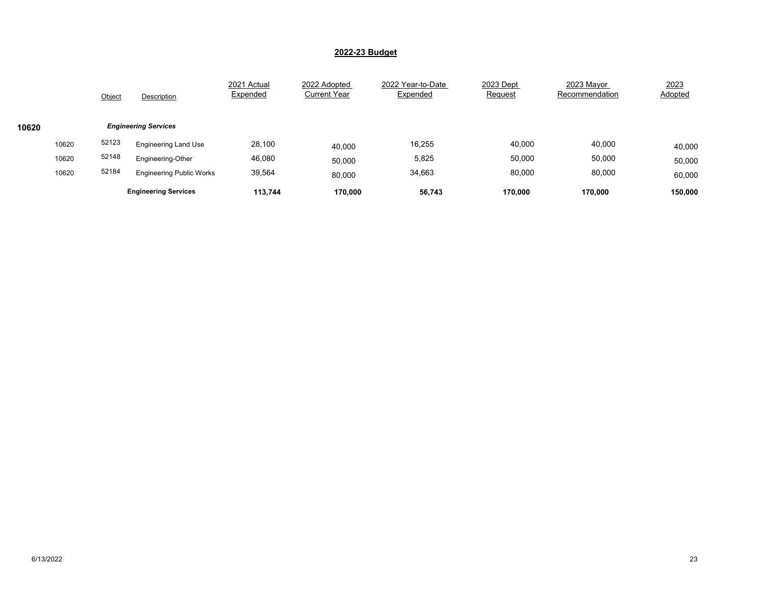|       |       | Object | Description                     | 2021 Actual<br>Expended | 2022 Adopted<br><b>Current Year</b> | 2022 Year-to-Date<br>Expended | 2023 Dept<br>Request | 2023 Mayor<br>Recommendation | 2023<br>Adopted |
|-------|-------|--------|---------------------------------|-------------------------|-------------------------------------|-------------------------------|----------------------|------------------------------|-----------------|
| 10620 |       |        | <b>Engineering Services</b>     |                         |                                     |                               |                      |                              |                 |
|       | 10620 | 52123  | <b>Engineering Land Use</b>     | 28,100                  | 40,000                              | 16,255                        | 40,000               | 40,000                       | 40,000          |
|       | 10620 | 52148  | Engineering-Other               | 46,080                  | 50,000                              | 5,825                         | 50,000               | 50,000                       | 50,000          |
|       | 10620 | 52184  | <b>Engineering Public Works</b> | 39,564                  | 80,000                              | 34,663                        | 80,000               | 80,000                       | 60,000          |
|       |       |        | <b>Engineering Services</b>     | 113.744                 | 170,000                             | 56,743                        | 170.000              | 170.000                      | 150,000         |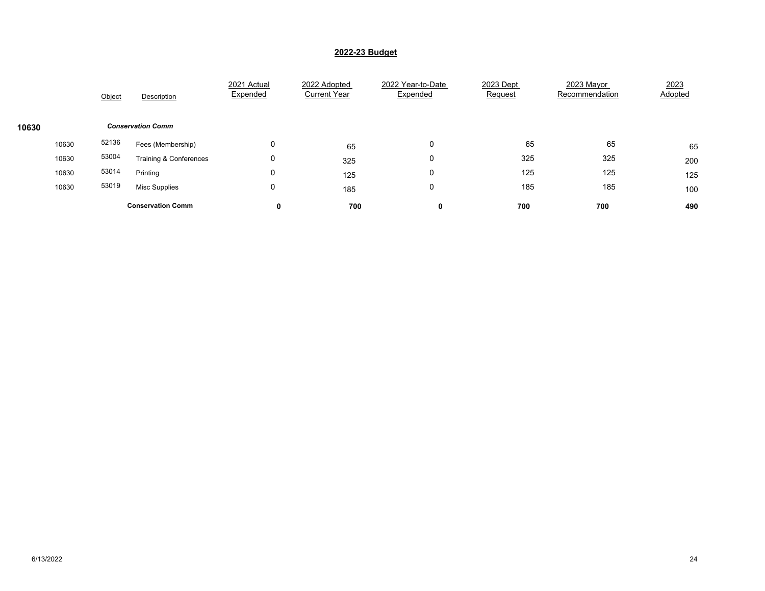|       |       | Object | Description                       | 2021 Actual<br>Expended | 2022 Adopted<br><b>Current Year</b> | 2022 Year-to-Date<br>Expended | 2023 Dept<br>Request | 2023 Mayor<br>Recommendation | 2023<br>Adopted |
|-------|-------|--------|-----------------------------------|-------------------------|-------------------------------------|-------------------------------|----------------------|------------------------------|-----------------|
| 10630 |       |        | <b>Conservation Comm</b>          |                         |                                     |                               |                      |                              |                 |
|       | 10630 | 52136  | Fees (Membership)                 | 0                       | 65                                  | 0                             | 65                   | 65                           | 65              |
|       | 10630 | 53004  | <b>Training &amp; Conferences</b> | 0                       | 325                                 | 0                             | 325                  | 325                          | 200             |
|       | 10630 | 53014  | Printing                          | 0                       | 125                                 | 0                             | 125                  | 125                          | 125             |
|       | 10630 | 53019  | Misc Supplies                     | 0                       | 185                                 | 0                             | 185                  | 185                          | 100             |
|       |       |        | <b>Conservation Comm</b>          | 0                       | 700                                 | 0                             | 700                  | 700                          | 490             |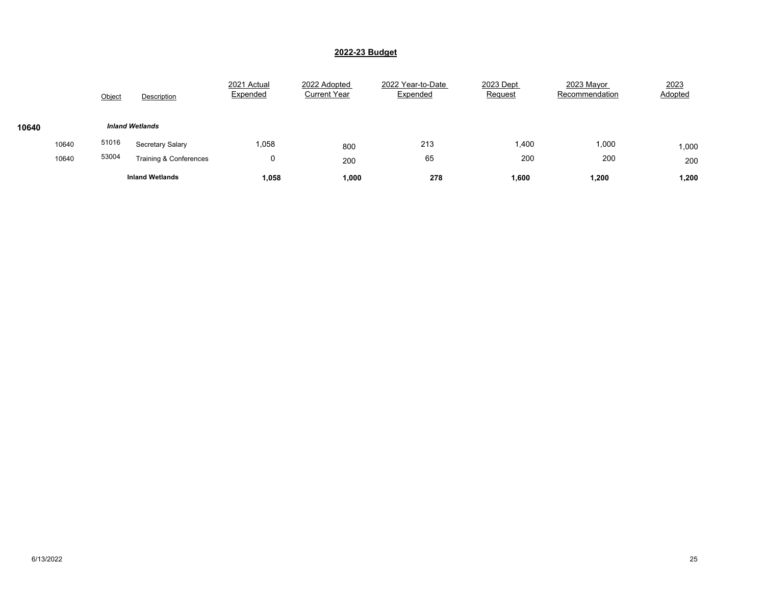|       |       | Object | Description            | 2021 Actual<br>Expended | 2022 Adopted<br><b>Current Year</b> | 2022 Year-to-Date<br>Expended | 2023 Dept<br>Request | 2023 Mayor<br>Recommendation | 2023<br>Adopted |
|-------|-------|--------|------------------------|-------------------------|-------------------------------------|-------------------------------|----------------------|------------------------------|-----------------|
| 10640 |       |        | <b>Inland Wetlands</b> |                         |                                     |                               |                      |                              |                 |
|       | 10640 | 51016  | Secretary Salary       | 1,058                   | 800                                 | 213                           | 1,400                | 1,000                        | 1,000           |
|       | 10640 | 53004  | Training & Conferences | U                       | 200                                 | 65                            | 200                  | 200                          | 200             |
|       |       |        | <b>Inland Wetlands</b> | 1,058                   | 1,000                               | 278                           | 1,600                | 1,200                        | 1,200           |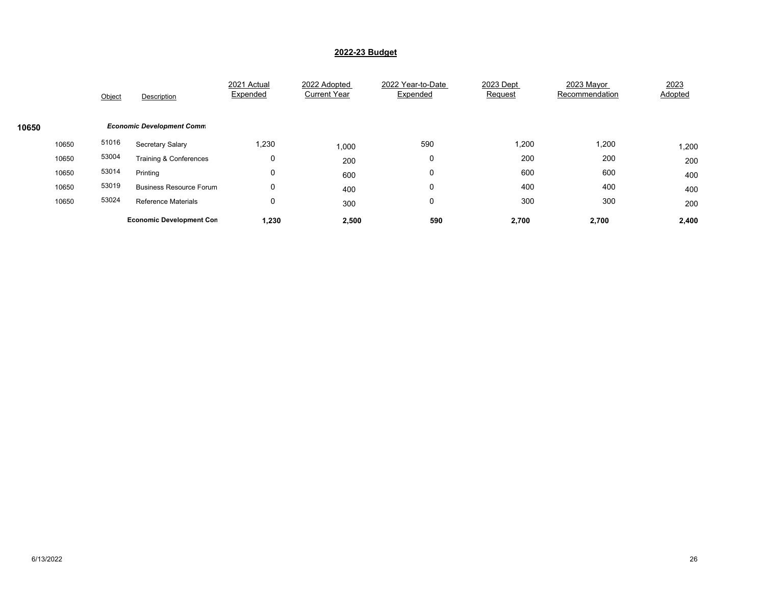|       |       | Object | Description                      | 2021 Actual<br>Expended | 2022 Adopted<br><b>Current Year</b> | 2022 Year-to-Date<br>Expended | 2023 Dept<br>Request | 2023 Mayor<br>Recommendation | 2023<br>Adopted |
|-------|-------|--------|----------------------------------|-------------------------|-------------------------------------|-------------------------------|----------------------|------------------------------|-----------------|
| 10650 |       |        | <b>Economic Development Comm</b> |                         |                                     |                               |                      |                              |                 |
|       | 10650 | 51016  | Secretary Salary                 | 1,230                   | 1,000                               | 590                           | 1,200                | 1,200                        | 1,200           |
|       | 10650 | 53004  | Training & Conferences           | 0                       | 200                                 | 0                             | 200                  | 200                          | 200             |
|       | 10650 | 53014  | Printing                         | 0                       | 600                                 | 0                             | 600                  | 600                          | 400             |
|       | 10650 | 53019  | <b>Business Resource Forum</b>   | 0                       | 400                                 | 0                             | 400                  | 400                          | 400             |
|       | 10650 | 53024  | <b>Reference Materials</b>       | 0                       | 300                                 | 0                             | 300                  | 300                          | 200             |
|       |       |        | <b>Economic Development Con</b>  | 1,230                   | 2,500                               | 590                           | 2,700                | 2,700                        | 2,400           |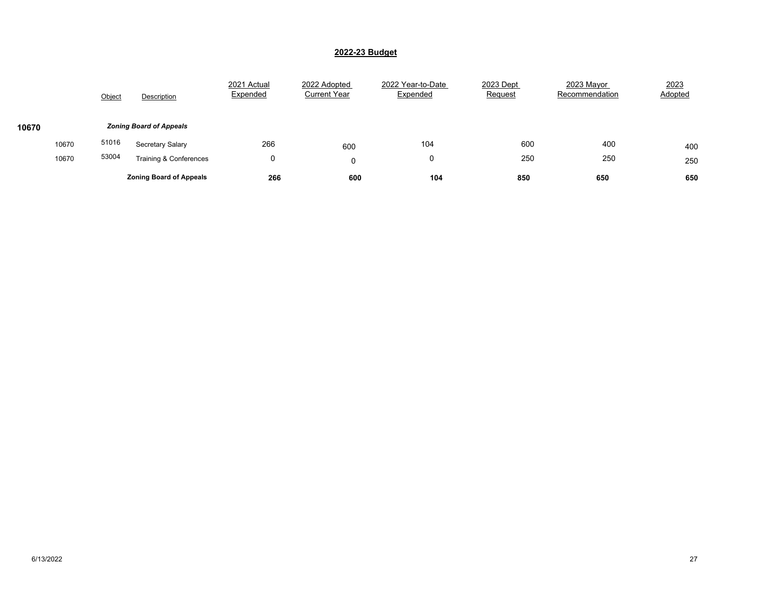|       |       | Object | Description                    | 2021 Actual<br>Expended | 2022 Adopted<br><b>Current Year</b> | 2022 Year-to-Date<br>Expended | 2023 Dept<br>Request | 2023 Mayor<br>Recommendation | 2023<br>Adopted |
|-------|-------|--------|--------------------------------|-------------------------|-------------------------------------|-------------------------------|----------------------|------------------------------|-----------------|
| 10670 |       |        | <b>Zoning Board of Appeals</b> |                         |                                     |                               |                      |                              |                 |
|       | 10670 | 51016  | Secretary Salary               | 266                     | 600                                 | 104                           | 600                  | 400                          | 400             |
|       | 10670 | 53004  | Training & Conferences         | υ                       |                                     | 0                             | 250                  | 250                          | 250             |
|       |       |        | <b>Zoning Board of Appeals</b> | 266                     | 600                                 | 104                           | 850                  | 650                          | 650             |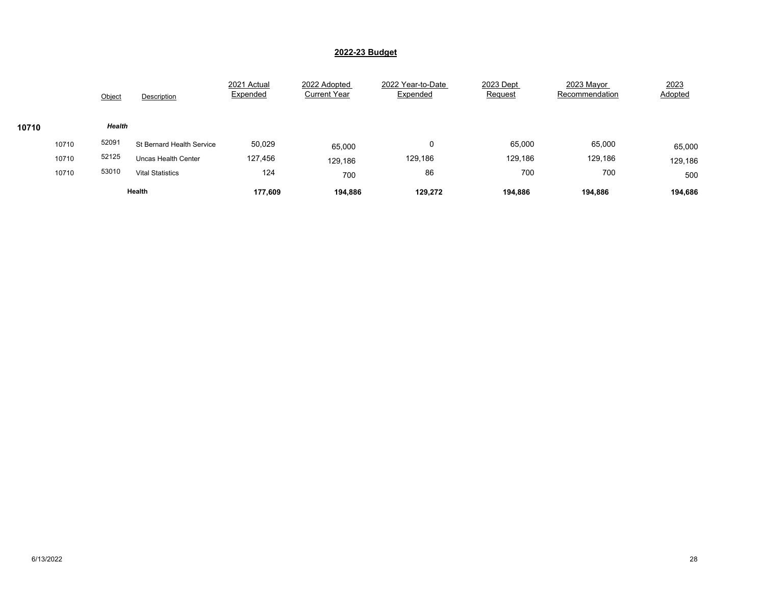|       |       | Object | Description                | 2021 Actual<br>Expended | 2022 Adopted<br><b>Current Year</b> | 2022 Year-to-Date<br>Expended | 2023 Dept<br>Request | 2023 Mayor<br>Recommendation | 2023<br>Adopted |
|-------|-------|--------|----------------------------|-------------------------|-------------------------------------|-------------------------------|----------------------|------------------------------|-----------------|
| 10710 |       | Health |                            |                         |                                     |                               |                      |                              |                 |
|       | 10710 | 52091  | St Bernard Health Service  | 50,029                  | 65,000                              | 0                             | 65,000               | 65,000                       | 65,000          |
|       | 10710 | 52125  | <b>Uncas Health Center</b> | 127,456                 | 129,186                             | 129,186                       | 129,186              | 129,186                      | 129,186         |
|       | 10710 | 53010  | <b>Vital Statistics</b>    | 124                     | 700                                 | 86                            | 700                  | 700                          | 500             |
|       |       |        | Health                     | 177,609                 | 194,886                             | 129,272                       | 194.886              | 194,886                      | 194,686         |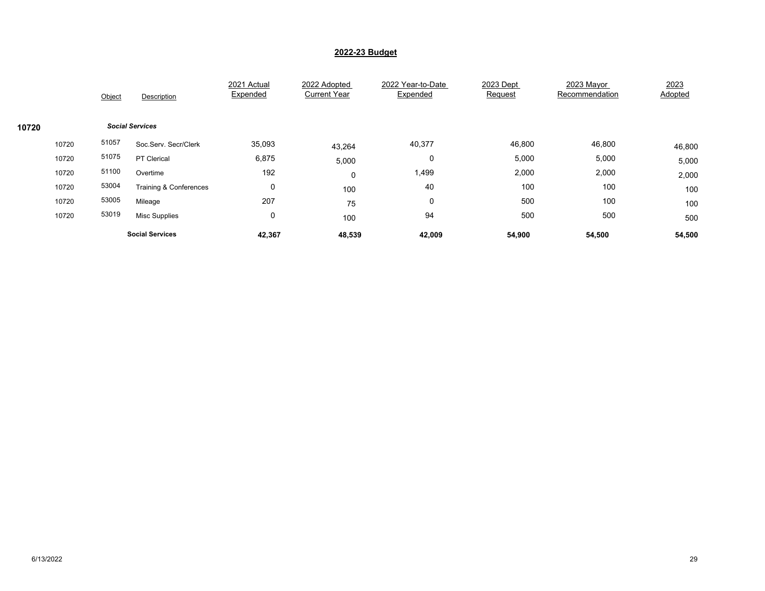|       |       | Object                 | Description            | 2021 Actual<br>Expended | 2022 Adopted<br><b>Current Year</b> | 2022 Year-to-Date<br>Expended | 2023 Dept<br>Request | 2023 Mayor<br>Recommendation | 2023<br>Adopted |
|-------|-------|------------------------|------------------------|-------------------------|-------------------------------------|-------------------------------|----------------------|------------------------------|-----------------|
| 10720 |       | <b>Social Services</b> |                        |                         |                                     |                               |                      |                              |                 |
|       | 10720 | 51057                  | Soc.Serv. Secr/Clerk   | 35,093                  | 43,264                              | 40,377                        | 46,800               | 46,800                       | 46,800          |
|       | 10720 | 51075                  | PT Clerical            | 6,875                   | 5,000                               | 0                             | 5,000                | 5,000                        | 5,000           |
|       | 10720 | 51100                  | Overtime               | 192                     | 0                                   | 1,499                         | 2,000                | 2,000                        | 2,000           |
|       | 10720 | 53004                  | Training & Conferences | $\mathbf 0$             | 100                                 | 40                            | 100                  | 100                          | 100             |
|       | 10720 | 53005                  | Mileage                | 207                     | 75                                  | 0                             | 500                  | 100                          | 100             |
|       | 10720 | 53019                  | <b>Misc Supplies</b>   | $\mathbf 0$             | 100                                 | 94                            | 500                  | 500                          | 500             |
|       |       |                        | <b>Social Services</b> | 42,367                  | 48,539                              | 42,009                        | 54,900               | 54,500                       | 54,500          |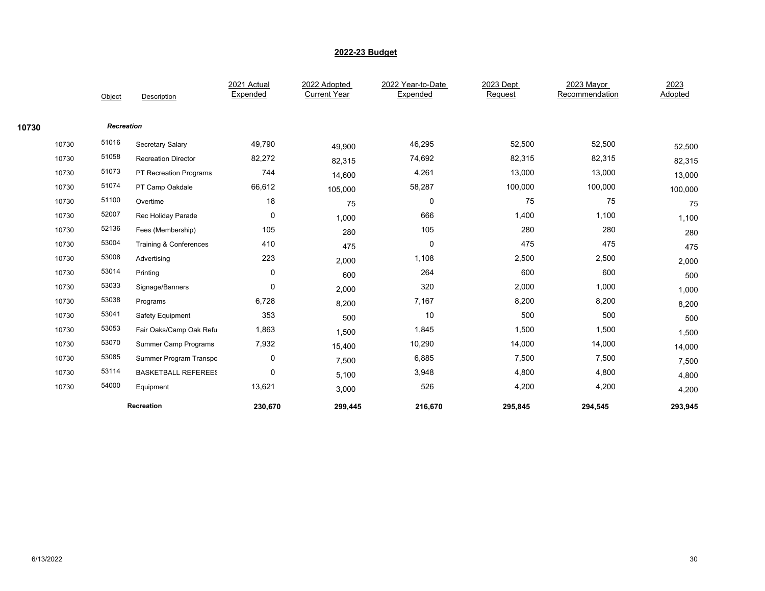|       |       |                   |                             | 2021 Actual | 2022 Adopted        | 2022 Year-to-Date | 2023 Dept | 2023 Mayor     | 2023    |
|-------|-------|-------------------|-----------------------------|-------------|---------------------|-------------------|-----------|----------------|---------|
|       |       | Object            | Description                 | Expended    | <b>Current Year</b> | Expended          | Request   | Recommendation | Adopted |
|       |       |                   |                             |             |                     |                   |           |                |         |
| 10730 |       | <b>Recreation</b> |                             |             |                     |                   |           |                |         |
|       | 10730 | 51016             | Secretary Salary            | 49,790      | 49,900              | 46,295            | 52,500    | 52,500         | 52,500  |
|       | 10730 | 51058             | <b>Recreation Director</b>  | 82,272      | 82,315              | 74,692            | 82,315    | 82,315         | 82,315  |
|       | 10730 | 51073             | PT Recreation Programs      | 744         | 14,600              | 4,261             | 13,000    | 13,000         | 13,000  |
|       | 10730 | 51074             | PT Camp Oakdale             | 66,612      | 105,000             | 58,287            | 100,000   | 100,000        | 100,000 |
|       | 10730 | 51100             | Overtime                    | 18          | 75                  | 0                 | 75        | 75             | 75      |
|       | 10730 | 52007             | Rec Holiday Parade          | 0           | 1,000               | 666               | 1,400     | 1,100          | 1,100   |
|       | 10730 | 52136             | Fees (Membership)           | 105         | 280                 | 105               | 280       | 280            | 280     |
|       | 10730 | 53004             | Training & Conferences      | 410         | 475                 | 0                 | 475       | 475            | 475     |
|       | 10730 | 53008             | Advertising                 | 223         | 2,000               | 1,108             | 2,500     | 2,500          | 2,000   |
|       | 10730 | 53014             | Printing                    | 0           | 600                 | 264               | 600       | 600            | 500     |
|       | 10730 | 53033             | Signage/Banners             | $\mathbf 0$ | 2,000               | 320               | 2,000     | 1,000          | 1,000   |
|       | 10730 | 53038             | Programs                    | 6,728       | 8,200               | 7,167             | 8,200     | 8,200          | 8,200   |
|       | 10730 | 53041             | Safety Equipment            | 353         | 500                 | 10                | 500       | 500            | 500     |
|       | 10730 | 53053             | Fair Oaks/Camp Oak Refu     | 1,863       | 1,500               | 1,845             | 1,500     | 1,500          | 1,500   |
|       | 10730 | 53070             | <b>Summer Camp Programs</b> | 7,932       | 15,400              | 10,290            | 14,000    | 14,000         | 14,000  |
|       | 10730 | 53085             | Summer Program Transpo      | 0           | 7,500               | 6,885             | 7,500     | 7,500          | 7,500   |
|       | 10730 | 53114             | <b>BASKETBALL REFEREES</b>  | 0           | 5,100               | 3,948             | 4,800     | 4,800          | 4,800   |
|       | 10730 | 54000             | Equipment                   | 13,621      | 3,000               | 526               | 4,200     | 4,200          | 4,200   |
|       |       |                   | Recreation                  | 230,670     | 299,445             | 216,670           | 295,845   | 294,545        | 293,945 |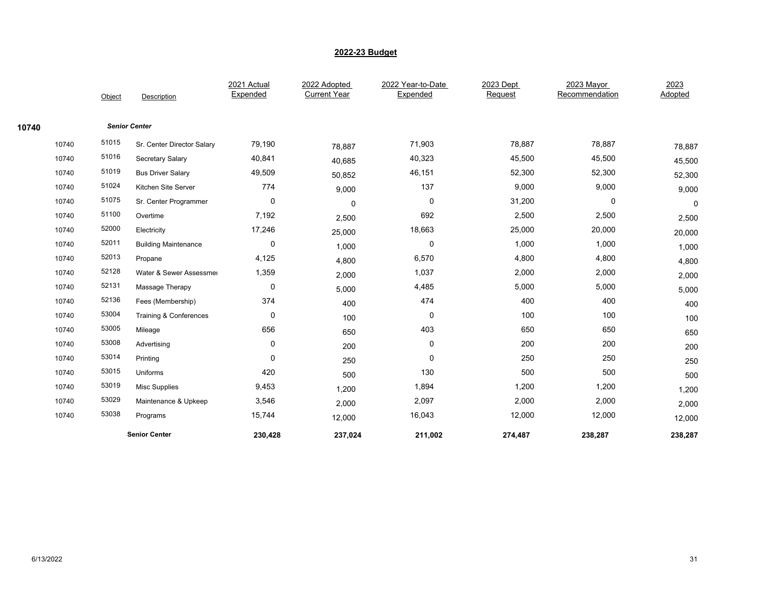|       |        |                             | 2021 Actual | 2022 Adopted        | 2022 Year-to-Date | 2023 Dept | 2023 Mayor     | 2023    |
|-------|--------|-----------------------------|-------------|---------------------|-------------------|-----------|----------------|---------|
|       | Object | Description                 | Expended    | <b>Current Year</b> | Expended          | Request   | Recommendation | Adopted |
|       |        |                             |             |                     |                   |           |                |         |
| 10740 |        | <b>Senior Center</b>        |             |                     |                   |           |                |         |
| 10740 | 51015  | Sr. Center Director Salary  | 79,190      | 78,887              | 71,903            | 78,887    | 78,887         | 78,887  |
| 10740 | 51016  | Secretary Salary            | 40,841      | 40,685              | 40,323            | 45,500    | 45,500         | 45,500  |
| 10740 | 51019  | <b>Bus Driver Salary</b>    | 49,509      | 50,852              | 46,151            | 52,300    | 52,300         | 52,300  |
| 10740 | 51024  | Kitchen Site Server         | 774         | 9,000               | 137               | 9,000     | 9,000          | 9,000   |
| 10740 | 51075  | Sr. Center Programmer       | $\mathbf 0$ | 0                   | 0                 | 31,200    | $\mathbf 0$    | 0       |
| 10740 | 51100  | Overtime                    | 7,192       | 2,500               | 692               | 2,500     | 2,500          | 2,500   |
| 10740 | 52000  | Electricity                 | 17,246      | 25,000              | 18,663            | 25,000    | 20,000         | 20,000  |
| 10740 | 52011  | <b>Building Maintenance</b> | 0           | 1,000               | 0                 | 1,000     | 1,000          | 1,000   |
| 10740 | 52013  | Propane                     | 4,125       | 4,800               | 6,570             | 4,800     | 4,800          | 4,800   |
| 10740 | 52128  | Water & Sewer Assessmer     | 1,359       | 2,000               | 1,037             | 2,000     | 2,000          | 2,000   |
| 10740 | 52131  | Massage Therapy             | 0           | 5,000               | 4,485             | 5,000     | 5,000          | 5,000   |
| 10740 | 52136  | Fees (Membership)           | 374         | 400                 | 474               | 400       | 400            | 400     |
| 10740 | 53004  | Training & Conferences      | 0           | 100                 | 0                 | 100       | 100            | 100     |
| 10740 | 53005  | Mileage                     | 656         | 650                 | 403               | 650       | 650            | 650     |
| 10740 | 53008  | Advertising                 | $\mathbf 0$ | 200                 | 0                 | 200       | 200            | 200     |
| 10740 | 53014  | Printing                    | $\mathbf 0$ | 250                 | 0                 | 250       | 250            | 250     |
| 10740 | 53015  | Uniforms                    | 420         | 500                 | 130               | 500       | 500            | 500     |
| 10740 | 53019  | <b>Misc Supplies</b>        | 9,453       | 1,200               | 1,894             | 1,200     | 1,200          | 1,200   |
| 10740 | 53029  | Maintenance & Upkeep        | 3,546       | 2,000               | 2,097             | 2,000     | 2,000          | 2,000   |
| 10740 | 53038  | Programs                    | 15,744      | 12,000              | 16,043            | 12,000    | 12,000         | 12,000  |
|       |        | <b>Senior Center</b>        | 230,428     | 237,024             | 211,002           | 274,487   | 238,287        | 238,287 |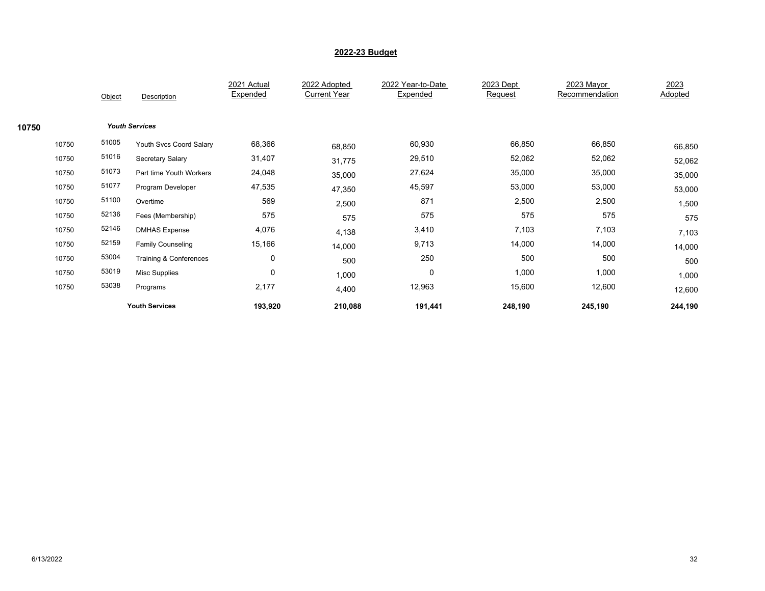|       |       | Object | Description              | 2021 Actual<br>Expended | 2022 Adopted<br><b>Current Year</b> | 2022 Year-to-Date<br>Expended | 2023 Dept<br>Request | 2023 Mayor<br>Recommendation | 2023<br>Adopted |
|-------|-------|--------|--------------------------|-------------------------|-------------------------------------|-------------------------------|----------------------|------------------------------|-----------------|
| 10750 |       |        | <b>Youth Services</b>    |                         |                                     |                               |                      |                              |                 |
|       | 10750 | 51005  | Youth Svcs Coord Salary  | 68,366                  | 68,850                              | 60,930                        | 66,850               | 66,850                       | 66,850          |
|       | 10750 | 51016  | Secretary Salary         | 31,407                  | 31,775                              | 29,510                        | 52,062               | 52,062                       | 52,062          |
|       | 10750 | 51073  | Part time Youth Workers  | 24,048                  | 35,000                              | 27,624                        | 35,000               | 35,000                       | 35,000          |
|       | 10750 | 51077  | Program Developer        | 47,535                  | 47,350                              | 45,597                        | 53,000               | 53,000                       | 53,000          |
|       | 10750 | 51100  | Overtime                 | 569                     | 2,500                               | 871                           | 2,500                | 2,500                        | 1,500           |
|       | 10750 | 52136  | Fees (Membership)        | 575                     | 575                                 | 575                           | 575                  | 575                          | 575             |
|       | 10750 | 52146  | <b>DMHAS Expense</b>     | 4,076                   | 4,138                               | 3,410                         | 7,103                | 7,103                        | 7,103           |
|       | 10750 | 52159  | <b>Family Counseling</b> | 15,166                  | 14,000                              | 9,713                         | 14,000               | 14,000                       | 14,000          |
|       | 10750 | 53004  | Training & Conferences   | 0                       | 500                                 | 250                           | 500                  | 500                          | 500             |
|       | 10750 | 53019  | <b>Misc Supplies</b>     | $\mathbf 0$             | 1,000                               | 0                             | 1,000                | 1,000                        | 1,000           |
|       | 10750 | 53038  | Programs                 | 2,177                   | 4,400                               | 12,963                        | 15,600               | 12,600                       | 12,600          |
|       |       |        | <b>Youth Services</b>    | 193,920                 | 210,088                             | 191,441                       | 248,190              | 245,190                      | 244,190         |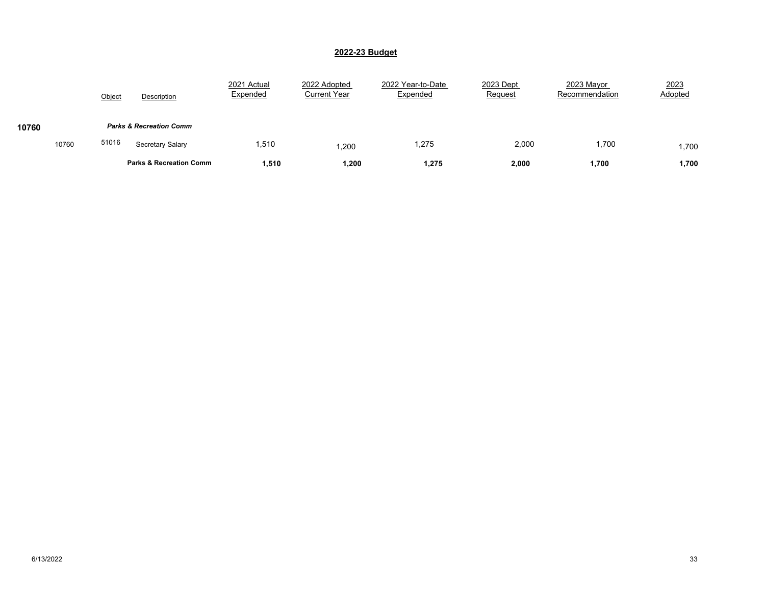|       |       | Object | Description                        | 2021 Actual<br>Expended | 2022 Adopted<br><b>Current Year</b> | 2022 Year-to-Date<br>Expended | 2023 Dept<br>Request | 2023 Mayor<br>Recommendation | 2023<br>Adopted |
|-------|-------|--------|------------------------------------|-------------------------|-------------------------------------|-------------------------------|----------------------|------------------------------|-----------------|
| 10760 |       |        | <b>Parks &amp; Recreation Comm</b> |                         |                                     |                               |                      |                              |                 |
|       | 10760 | 51016  | Secretary Salary                   | 1,510                   | ,200                                | 1,275                         | 2,000                | 1,700                        | 1,700           |
|       |       |        | <b>Parks &amp; Recreation Comm</b> | 1,510                   | 1,200                               | 1,275                         | 2,000                | 1,700                        | 1,700           |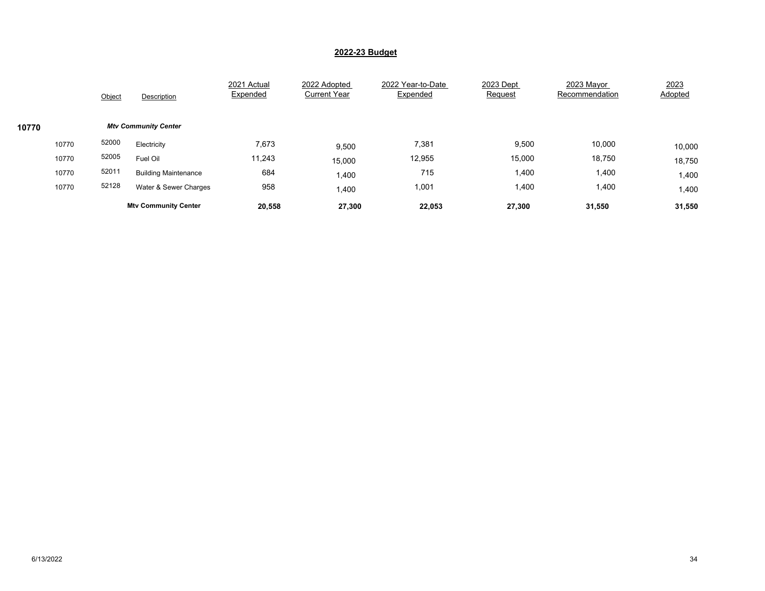|       |       | Object | Description                 | 2021 Actual<br>Expended | 2022 Adopted<br><b>Current Year</b> | 2022 Year-to-Date<br>Expended | 2023 Dept<br>Request | 2023 Mayor<br>Recommendation | 2023<br>Adopted |
|-------|-------|--------|-----------------------------|-------------------------|-------------------------------------|-------------------------------|----------------------|------------------------------|-----------------|
| 10770 |       |        | <b>Mtv Community Center</b> |                         |                                     |                               |                      |                              |                 |
|       | 10770 | 52000  | Electricity                 | 7,673                   | 9,500                               | 7,381                         | 9,500                | 10,000                       | 10,000          |
|       | 10770 | 52005  | Fuel Oil                    | 11,243                  | 15,000                              | 12,955                        | 15,000               | 18,750                       | 18,750          |
|       | 10770 | 52011  | <b>Building Maintenance</b> | 684                     | 1,400                               | 715                           | 1,400                | 1,400                        | 1,400           |
|       | 10770 | 52128  | Water & Sewer Charges       | 958                     | 1,400                               | 1,001                         | 1,400                | 1,400                        | 1,400           |
|       |       |        | <b>Mtv Community Center</b> | 20,558                  | 27,300                              | 22,053                        | 27,300               | 31,550                       | 31,550          |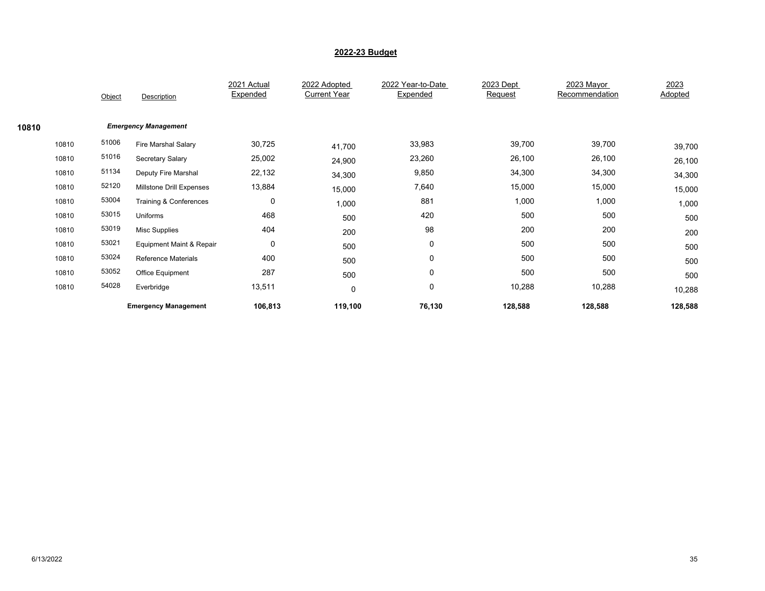|       |       | Object | Description                 | 2021 Actual<br>Expended | 2022 Adopted<br><b>Current Year</b> | 2022 Year-to-Date<br>Expended | 2023 Dept<br>Request | 2023 Mayor<br>Recommendation | 2023<br>Adopted |
|-------|-------|--------|-----------------------------|-------------------------|-------------------------------------|-------------------------------|----------------------|------------------------------|-----------------|
| 10810 |       |        | <b>Emergency Management</b> |                         |                                     |                               |                      |                              |                 |
|       | 10810 | 51006  | Fire Marshal Salary         | 30,725                  | 41,700                              | 33,983                        | 39,700               | 39,700                       | 39,700          |
|       | 10810 | 51016  | Secretary Salary            | 25,002                  | 24,900                              | 23,260                        | 26,100               | 26,100                       | 26,100          |
|       | 10810 | 51134  | Deputy Fire Marshal         | 22,132                  | 34,300                              | 9,850                         | 34,300               | 34,300                       | 34,300          |
|       | 10810 | 52120  | Millstone Drill Expenses    | 13,884                  | 15,000                              | 7,640                         | 15,000               | 15,000                       | 15,000          |
|       | 10810 | 53004  | Training & Conferences      | $\mathbf 0$             | 1,000                               | 881                           | 1,000                | 1,000                        | 1,000           |
|       | 10810 | 53015  | Uniforms                    | 468                     | 500                                 | 420                           | 500                  | 500                          | 500             |
|       | 10810 | 53019  | <b>Misc Supplies</b>        | 404                     | 200                                 | 98                            | 200                  | 200                          | 200             |
|       | 10810 | 53021  | Equipment Maint & Repair    | $\mathbf 0$             | 500                                 | 0                             | 500                  | 500                          | 500             |
|       | 10810 | 53024  | <b>Reference Materials</b>  | 400                     | 500                                 | 0                             | 500                  | 500                          | 500             |
|       | 10810 | 53052  | Office Equipment            | 287                     | 500                                 | 0                             | 500                  | 500                          | 500             |
|       | 10810 | 54028  | Everbridge                  | 13,511                  | 0                                   | 0                             | 10,288               | 10,288                       | 10,288          |
|       |       |        | <b>Emergency Management</b> | 106,813                 | 119,100                             | 76,130                        | 128,588              | 128,588                      | 128,588         |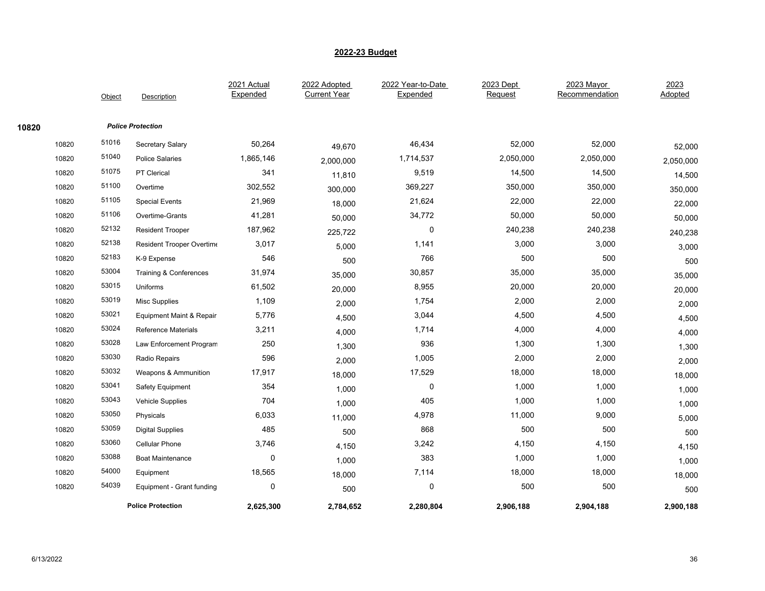|       |       |        |                                     | 2021 Actual | 2022 Adopted        | 2022 Year-to-Date | 2023 Dept | 2023 Mayor     | 2023      |
|-------|-------|--------|-------------------------------------|-------------|---------------------|-------------------|-----------|----------------|-----------|
|       |       | Object | Description                         | Expended    | <b>Current Year</b> | Expended          | Request   | Recommendation | Adopted   |
| 10820 |       |        | <b>Police Protection</b>            |             |                     |                   |           |                |           |
|       | 10820 | 51016  | Secretary Salary                    | 50,264      | 49,670              | 46,434            | 52,000    | 52,000         | 52,000    |
|       | 10820 | 51040  | <b>Police Salaries</b>              | 1,865,146   | 2,000,000           | 1,714,537         | 2,050,000 | 2,050,000      | 2,050,000 |
|       | 10820 | 51075  | PT Clerical                         | 341         | 11,810              | 9,519             | 14,500    | 14,500         | 14,500    |
|       | 10820 | 51100  | Overtime                            | 302,552     | 300,000             | 369,227           | 350,000   | 350,000        | 350,000   |
|       | 10820 | 51105  | <b>Special Events</b>               | 21,969      | 18,000              | 21,624            | 22,000    | 22,000         | 22,000    |
|       | 10820 | 51106  | Overtime-Grants                     | 41,281      | 50,000              | 34,772            | 50,000    | 50,000         | 50,000    |
|       | 10820 | 52132  | <b>Resident Trooper</b>             | 187,962     | 225,722             | 0                 | 240,238   | 240,238        | 240,238   |
|       | 10820 | 52138  | Resident Trooper Overtime           | 3,017       | 5,000               | 1,141             | 3,000     | 3,000          | 3,000     |
|       | 10820 | 52183  | K-9 Expense                         | 546         | 500                 | 766               | 500       | 500            | 500       |
|       | 10820 | 53004  | Training & Conferences              | 31,974      | 35,000              | 30,857            | 35,000    | 35,000         | 35,000    |
|       | 10820 | 53015  | Uniforms                            | 61,502      | 20,000              | 8,955             | 20,000    | 20,000         | 20,000    |
|       | 10820 | 53019  | <b>Misc Supplies</b>                | 1,109       | 2,000               | 1,754             | 2,000     | 2,000          | 2,000     |
|       | 10820 | 53021  | <b>Equipment Maint &amp; Repair</b> | 5,776       | 4,500               | 3,044             | 4,500     | 4,500          | 4,500     |
|       | 10820 | 53024  | <b>Reference Materials</b>          | 3,211       | 4,000               | 1,714             | 4,000     | 4,000          | 4,000     |
|       | 10820 | 53028  | Law Enforcement Program             | 250         | 1,300               | 936               | 1,300     | 1,300          | 1,300     |
|       | 10820 | 53030  | <b>Radio Repairs</b>                | 596         | 2,000               | 1,005             | 2,000     | 2,000          | 2,000     |
|       | 10820 | 53032  | Weapons & Ammunition                | 17,917      | 18,000              | 17,529            | 18,000    | 18,000         | 18,000    |
|       | 10820 | 53041  | Safety Equipment                    | 354         | 1,000               | 0                 | 1,000     | 1,000          | 1,000     |
|       | 10820 | 53043  | <b>Vehicle Supplies</b>             | 704         | 1,000               | 405               | 1,000     | 1,000          | 1,000     |
|       | 10820 | 53050  | Physicals                           | 6,033       | 11,000              | 4,978             | 11,000    | 9,000          | 5,000     |
|       | 10820 | 53059  | <b>Digital Supplies</b>             | 485         | 500                 | 868               | 500       | 500            | 500       |
|       | 10820 | 53060  | <b>Cellular Phone</b>               | 3,746       | 4,150               | 3,242             | 4,150     | 4,150          | 4,150     |
|       | 10820 | 53088  | <b>Boat Maintenance</b>             | $\Omega$    | 1,000               | 383               | 1,000     | 1,000          | 1,000     |
|       | 10820 | 54000  | Equipment                           | 18,565      | 18,000              | 7,114             | 18,000    | 18,000         | 18,000    |
|       | 10820 | 54039  | Equipment - Grant funding           | 0           | 500                 | 0                 | 500       | 500            | 500       |
|       |       |        | <b>Police Protection</b>            | 2,625,300   | 2,784,652           | 2,280,804         | 2,906,188 | 2,904,188      | 2,900,188 |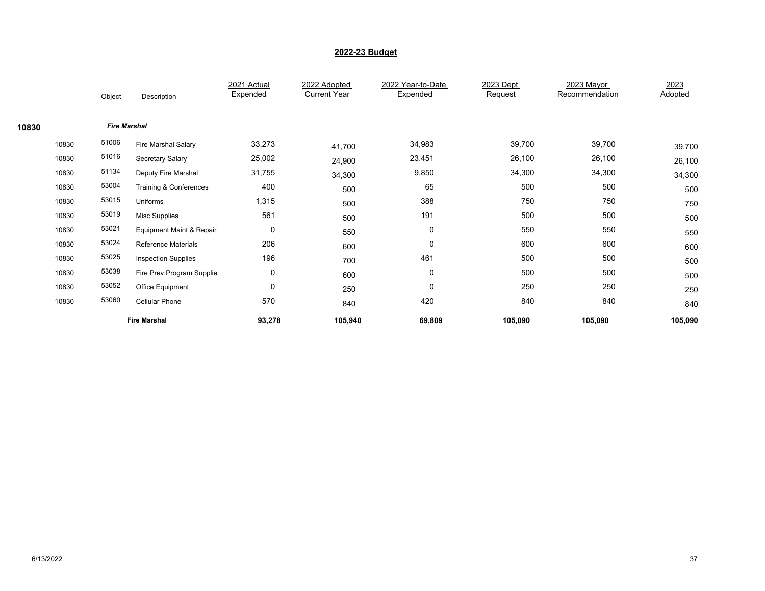|       |       | Object              | Description                | 2021 Actual<br>Expended | 2022 Adopted<br><b>Current Year</b> | 2022 Year-to-Date<br>Expended | 2023 Dept<br>Request | 2023 Mayor<br>Recommendation | 2023<br>Adopted |
|-------|-------|---------------------|----------------------------|-------------------------|-------------------------------------|-------------------------------|----------------------|------------------------------|-----------------|
| 10830 |       | <b>Fire Marshal</b> |                            |                         |                                     |                               |                      |                              |                 |
|       | 10830 | 51006               | Fire Marshal Salary        | 33,273                  | 41,700                              | 34,983                        | 39,700               | 39,700                       | 39,700          |
|       | 10830 | 51016               | Secretary Salary           | 25,002                  | 24,900                              | 23,451                        | 26,100               | 26,100                       | 26,100          |
|       | 10830 | 51134               | Deputy Fire Marshal        | 31,755                  | 34,300                              | 9,850                         | 34,300               | 34,300                       | 34,300          |
|       | 10830 | 53004               | Training & Conferences     | 400                     | 500                                 | 65                            | 500                  | 500                          | 500             |
|       | 10830 | 53015               | Uniforms                   | 1,315                   | 500                                 | 388                           | 750                  | 750                          | 750             |
|       | 10830 | 53019               | <b>Misc Supplies</b>       | 561                     | 500                                 | 191                           | 500                  | 500                          | 500             |
|       | 10830 | 53021               | Equipment Maint & Repair   | $\mathbf 0$             | 550                                 | 0                             | 550                  | 550                          | 550             |
|       | 10830 | 53024               | <b>Reference Materials</b> | 206                     | 600                                 | 0                             | 600                  | 600                          | 600             |
|       | 10830 | 53025               | <b>Inspection Supplies</b> | 196                     | 700                                 | 461                           | 500                  | 500                          | 500             |
|       | 10830 | 53038               | Fire Prev.Program Supplie  | 0                       | 600                                 | 0                             | 500                  | 500                          | 500             |
|       | 10830 | 53052               | Office Equipment           | $\mathbf 0$             | 250                                 | $\mathbf 0$                   | 250                  | 250                          | 250             |
|       | 10830 | 53060               | <b>Cellular Phone</b>      | 570                     | 840                                 | 420                           | 840                  | 840                          | 840             |
|       |       |                     | <b>Fire Marshal</b>        | 93,278                  | 105,940                             | 69,809                        | 105,090              | 105,090                      | 105,090         |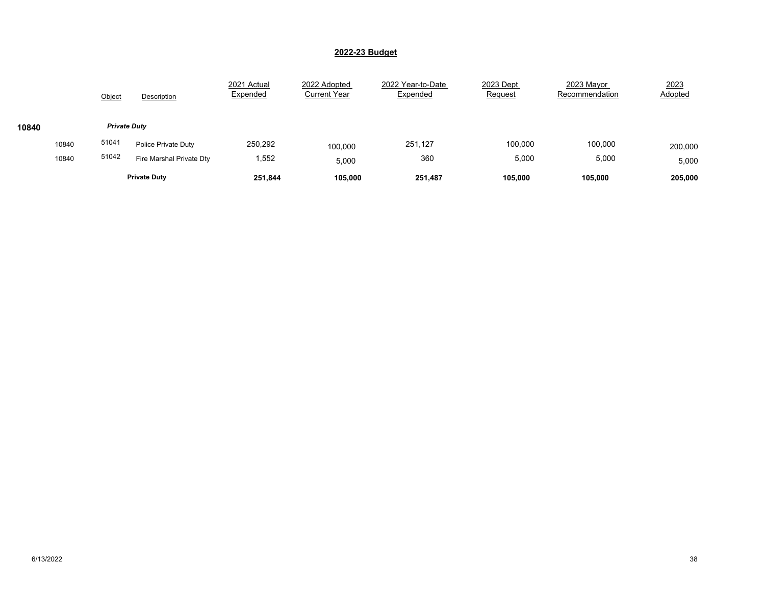|       |       | Object | Description              | 2021 Actual<br>Expended | 2022 Adopted<br><b>Current Year</b> | 2022 Year-to-Date<br>Expended | 2023 Dept<br>Request | 2023 Mayor<br>Recommendation | 2023<br>Adopted |  |  |  |
|-------|-------|--------|--------------------------|-------------------------|-------------------------------------|-------------------------------|----------------------|------------------------------|-----------------|--|--|--|
| 10840 |       |        | <b>Private Duty</b>      |                         |                                     |                               |                      |                              |                 |  |  |  |
|       | 10840 | 51041  | Police Private Duty      | 250,292                 | 100,000                             | 251,127                       | 100,000              | 100,000                      | 200,000         |  |  |  |
|       | 10840 | 51042  | Fire Marshal Private Dty | 1,552                   | 5,000                               | 360                           | 5,000                | 5,000                        | 5,000           |  |  |  |
|       |       |        | <b>Private Duty</b>      | 251,844                 | 105,000                             | 251,487                       | 105,000              | 105,000                      | 205,000         |  |  |  |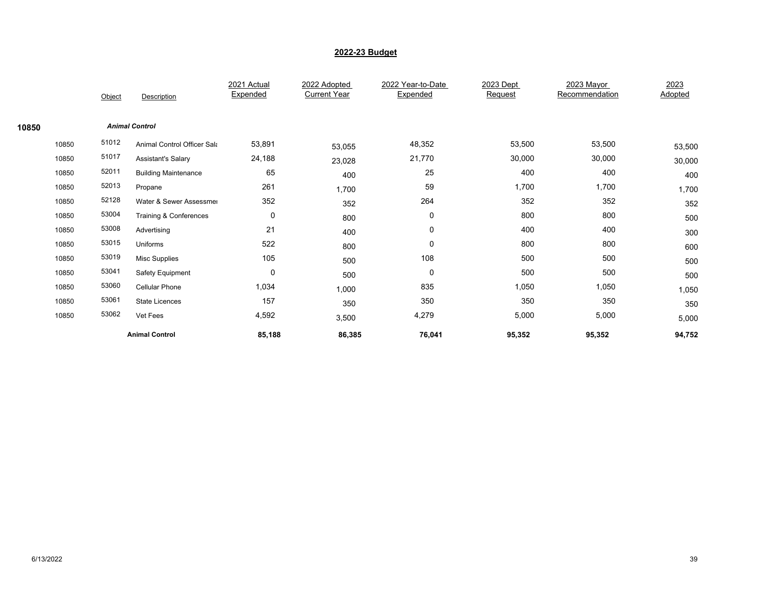|       |       | Object | Description                        | 2021 Actual<br>Expended | 2022 Adopted<br><b>Current Year</b> | 2022 Year-to-Date<br>Expended | 2023 Dept<br>Request | 2023 Mayor<br>Recommendation | 2023<br>Adopted |
|-------|-------|--------|------------------------------------|-------------------------|-------------------------------------|-------------------------------|----------------------|------------------------------|-----------------|
| 10850 |       |        | <b>Animal Control</b>              |                         |                                     |                               |                      |                              |                 |
|       | 10850 | 51012  | <b>Animal Control Officer Sala</b> | 53,891                  | 53,055                              | 48,352                        | 53,500               | 53,500                       | 53,500          |
|       | 10850 | 51017  | <b>Assistant's Salary</b>          | 24,188                  | 23,028                              | 21,770                        | 30,000               | 30,000                       | 30,000          |
|       | 10850 | 52011  | <b>Building Maintenance</b>        | 65                      | 400                                 | 25                            | 400                  | 400                          | 400             |
|       | 10850 | 52013  | Propane                            | 261                     | 1,700                               | 59                            | 1,700                | 1,700                        | 1,700           |
|       | 10850 | 52128  | Water & Sewer Assessmer            | 352                     | 352                                 | 264                           | 352                  | 352                          | 352             |
|       | 10850 | 53004  | Training & Conferences             | 0                       | 800                                 | 0                             | 800                  | 800                          | 500             |
|       | 10850 | 53008  | Advertising                        | 21                      | 400                                 | 0                             | 400                  | 400                          | 300             |
|       | 10850 | 53015  | Uniforms                           | 522                     | 800                                 | 0                             | 800                  | 800                          | 600             |
|       | 10850 | 53019  | <b>Misc Supplies</b>               | 105                     | 500                                 | 108                           | 500                  | 500                          | 500             |
|       | 10850 | 53041  | Safety Equipment                   | $\mathbf 0$             | 500                                 | 0                             | 500                  | 500                          | 500             |
|       | 10850 | 53060  | <b>Cellular Phone</b>              | 1,034                   | 1,000                               | 835                           | 1,050                | 1,050                        | 1,050           |
|       | 10850 | 53061  | <b>State Licences</b>              | 157                     | 350                                 | 350                           | 350                  | 350                          | 350             |
|       | 10850 | 53062  | Vet Fees                           | 4,592                   | 3,500                               | 4,279                         | 5,000                | 5,000                        | 5,000           |
|       |       |        | <b>Animal Control</b>              | 85,188                  | 86,385                              | 76,041                        | 95,352               | 95,352                       | 94,752          |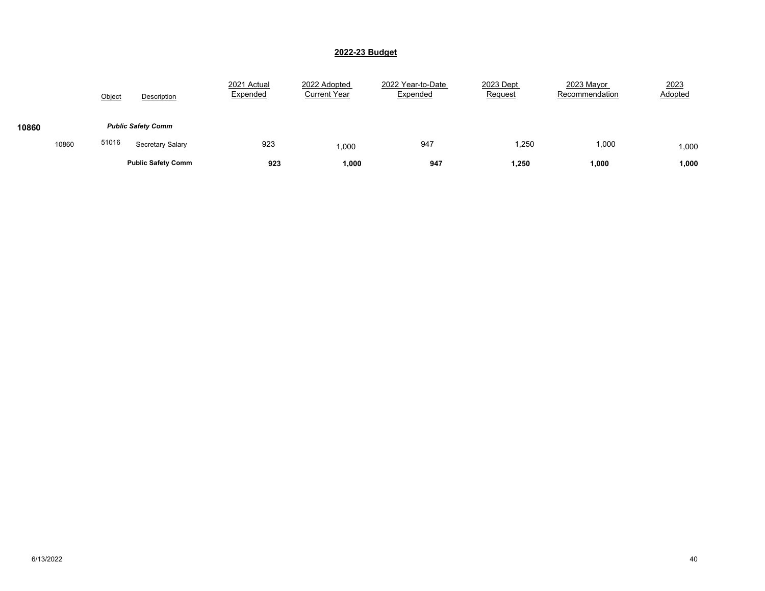|       |       | Object | Description               | 2021 Actual<br>Expended | 2022 Adopted<br><b>Current Year</b> | 2022 Year-to-Date<br>Expended | 2023 Dept<br>Request | 2023 Mayor<br>Recommendation | 2023<br>Adopted |
|-------|-------|--------|---------------------------|-------------------------|-------------------------------------|-------------------------------|----------------------|------------------------------|-----------------|
| 10860 |       |        | <b>Public Safety Comm</b> |                         |                                     |                               |                      |                              |                 |
|       | 10860 | 51016  | Secretary Salary          | 923                     | 1,000                               | 947                           | 1,250                | 1,000                        | 1,000           |
|       |       |        | <b>Public Safety Comm</b> | 923                     | 1,000                               | 947                           | 1,250                | 1,000                        | 1,000           |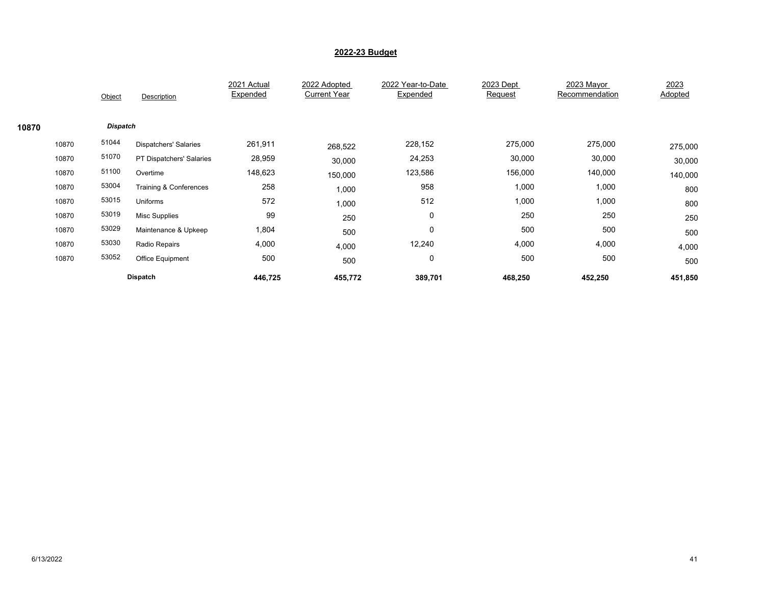|       |       | Object          | Description                  | 2021 Actual<br>Expended | 2022 Adopted<br><b>Current Year</b> | 2022 Year-to-Date<br>Expended | 2023 Dept<br>Request | 2023 Mayor<br>Recommendation | 2023<br>Adopted |
|-------|-------|-----------------|------------------------------|-------------------------|-------------------------------------|-------------------------------|----------------------|------------------------------|-----------------|
| 10870 |       | <b>Dispatch</b> |                              |                         |                                     |                               |                      |                              |                 |
|       | 10870 | 51044           | <b>Dispatchers' Salaries</b> | 261,911                 | 268,522                             | 228,152                       | 275,000              | 275,000                      | 275,000         |
|       | 10870 | 51070           | PT Dispatchers' Salaries     | 28,959                  | 30,000                              | 24,253                        | 30,000               | 30,000                       | 30,000          |
|       | 10870 | 51100           | Overtime                     | 148,623                 | 150,000                             | 123,586                       | 156,000              | 140,000                      | 140,000         |
|       | 10870 | 53004           | Training & Conferences       | 258                     | 1,000                               | 958                           | 1,000                | 1,000                        | 800             |
|       | 10870 | 53015           | Uniforms                     | 572                     | 1,000                               | 512                           | 1,000                | 1,000                        | 800             |
|       | 10870 | 53019           | <b>Misc Supplies</b>         | 99                      | 250                                 | 0                             | 250                  | 250                          | 250             |
|       | 10870 | 53029           | Maintenance & Upkeep         | 1,804                   | 500                                 | 0                             | 500                  | 500                          | 500             |
|       | 10870 | 53030           | Radio Repairs                | 4,000                   | 4,000                               | 12,240                        | 4,000                | 4,000                        | 4,000           |
|       | 10870 | 53052           | Office Equipment             | 500                     | 500                                 | 0                             | 500                  | 500                          | 500             |
|       |       |                 | <b>Dispatch</b>              | 446,725                 | 455,772                             | 389,701                       | 468,250              | 452,250                      | 451,850         |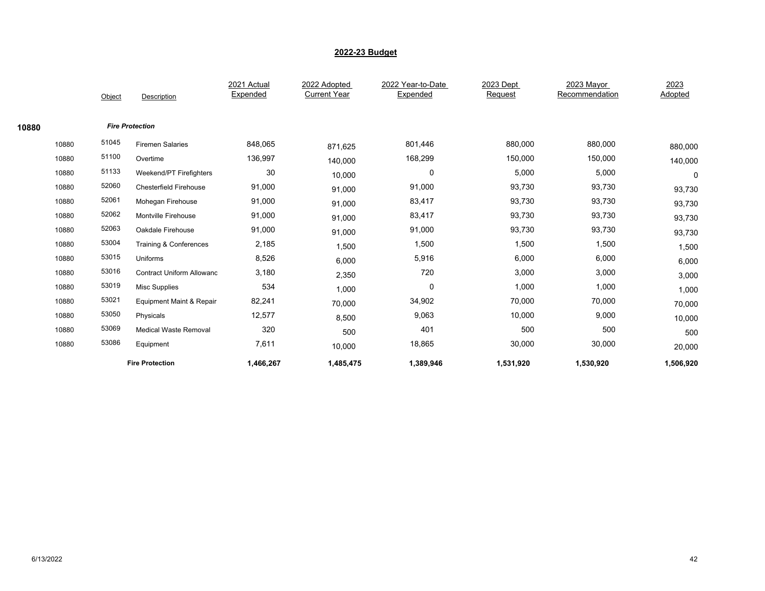|       |       | Object                 | Description                      | 2021 Actual<br>Expended | 2022 Adopted<br><b>Current Year</b> | 2022 Year-to-Date<br>Expended | 2023 Dept<br>Request | 2023 Mayor<br>Recommendation | 2023<br>Adopted |
|-------|-------|------------------------|----------------------------------|-------------------------|-------------------------------------|-------------------------------|----------------------|------------------------------|-----------------|
|       |       |                        |                                  |                         |                                     |                               |                      |                              |                 |
| 10880 |       | <b>Fire Protection</b> |                                  |                         |                                     |                               |                      |                              |                 |
|       | 10880 | 51045                  | <b>Firemen Salaries</b>          | 848,065                 | 871,625                             | 801,446                       | 880,000              | 880,000                      | 880,000         |
|       | 10880 | 51100                  | Overtime                         | 136,997                 | 140,000                             | 168,299                       | 150,000              | 150,000                      | 140,000         |
|       | 10880 | 51133                  | Weekend/PT Firefighters          | 30                      | 10,000                              | 0                             | 5,000                | 5,000                        | 0               |
|       | 10880 | 52060                  | <b>Chesterfield Firehouse</b>    | 91,000                  | 91,000                              | 91,000                        | 93,730               | 93,730                       | 93,730          |
|       | 10880 | 52061                  | Mohegan Firehouse                | 91,000                  | 91,000                              | 83,417                        | 93,730               | 93,730                       | 93,730          |
|       | 10880 | 52062                  | Montville Firehouse              | 91,000                  | 91,000                              | 83,417                        | 93,730               | 93,730                       | 93,730          |
|       | 10880 | 52063                  | Oakdale Firehouse                | 91,000                  | 91,000                              | 91,000                        | 93,730               | 93,730                       | 93,730          |
|       | 10880 | 53004                  | Training & Conferences           | 2,185                   | 1,500                               | 1,500                         | 1,500                | 1,500                        | 1,500           |
|       | 10880 | 53015                  | Uniforms                         | 8,526                   | 6,000                               | 5,916                         | 6,000                | 6,000                        | 6,000           |
|       | 10880 | 53016                  | <b>Contract Uniform Allowanc</b> | 3,180                   | 2,350                               | 720                           | 3,000                | 3,000                        | 3,000           |
|       | 10880 | 53019                  | <b>Misc Supplies</b>             | 534                     | 1,000                               | $\mathbf 0$                   | 1,000                | 1,000                        | 1,000           |
|       | 10880 | 53021                  | Equipment Maint & Repair         | 82,241                  | 70,000                              | 34,902                        | 70,000               | 70,000                       | 70,000          |
|       | 10880 | 53050                  | Physicals                        | 12,577                  | 8,500                               | 9,063                         | 10,000               | 9,000                        | 10,000          |
|       | 10880 | 53069                  | <b>Medical Waste Removal</b>     | 320                     | 500                                 | 401                           | 500                  | 500                          | 500             |
|       | 10880 | 53086                  | Equipment                        | 7,611                   | 10,000                              | 18,865                        | 30,000               | 30,000                       | 20,000          |
|       |       |                        | <b>Fire Protection</b>           | 1,466,267               | 1,485,475                           | 1,389,946                     | 1,531,920            | 1,530,920                    | 1,506,920       |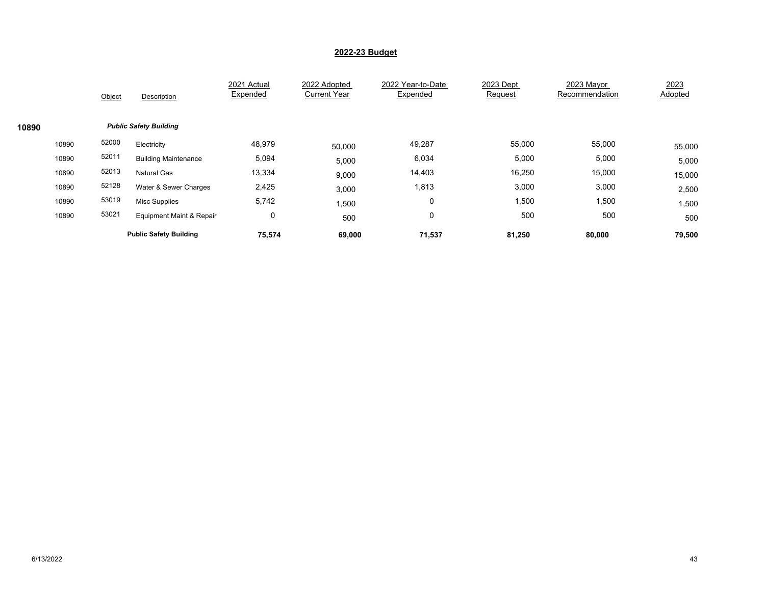|       |       | Object                        | Description                   | 2021 Actual<br>Expended | 2022 Adopted<br><b>Current Year</b> | 2022 Year-to-Date<br>Expended | 2023 Dept<br>Request | 2023 Mayor<br>Recommendation | 2023<br>Adopted |  |  |  |  |  |
|-------|-------|-------------------------------|-------------------------------|-------------------------|-------------------------------------|-------------------------------|----------------------|------------------------------|-----------------|--|--|--|--|--|
| 10890 |       | <b>Public Safety Building</b> |                               |                         |                                     |                               |                      |                              |                 |  |  |  |  |  |
|       | 10890 | 52000                         | Electricity                   | 48,979                  | 50,000                              | 49,287                        | 55,000               | 55,000                       | 55,000          |  |  |  |  |  |
|       | 10890 | 52011                         | <b>Building Maintenance</b>   | 5,094                   | 5,000                               | 6,034                         | 5,000                | 5,000                        | 5,000           |  |  |  |  |  |
|       | 10890 | 52013                         | <b>Natural Gas</b>            | 13,334                  | 9,000                               | 14,403                        | 16,250               | 15,000                       | 15,000          |  |  |  |  |  |
|       | 10890 | 52128                         | Water & Sewer Charges         | 2,425                   | 3,000                               | 1,813                         | 3,000                | 3,000                        | 2,500           |  |  |  |  |  |
|       | 10890 | 53019                         | <b>Misc Supplies</b>          | 5,742                   | 1,500                               | 0                             | 1,500                | 1,500                        | 1,500           |  |  |  |  |  |
|       | 10890 | 53021                         | Equipment Maint & Repair      | $\mathbf 0$             | 500                                 | 0                             | 500                  | 500                          | 500             |  |  |  |  |  |
|       |       |                               | <b>Public Safety Building</b> | 75,574                  | 69,000                              | 71,537                        | 81,250               | 80,000                       | 79,500          |  |  |  |  |  |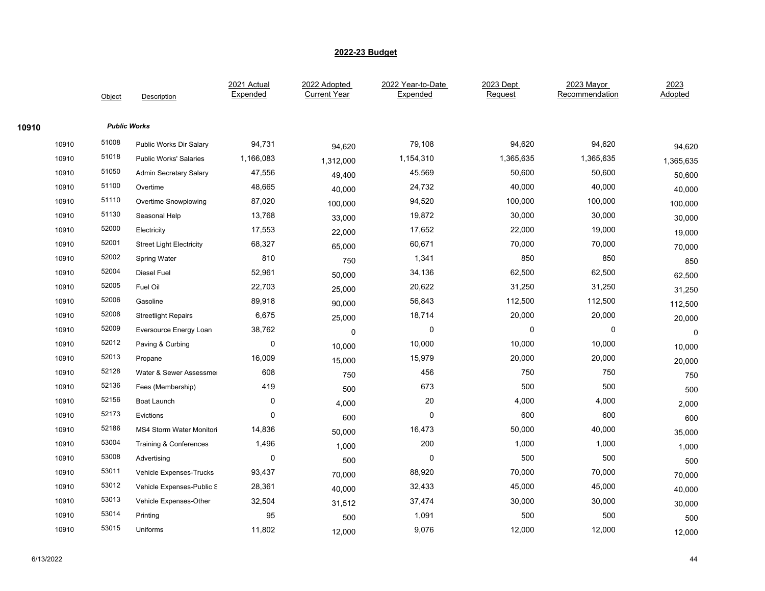|       |       | Object | Description                       | 2021 Actual<br>Expended | 2022 Adopted<br><b>Current Year</b> | 2022 Year-to-Date<br>Expended | 2023 Dept<br>Request | 2023 Mayor<br>Recommendation | 2023<br>Adopted |
|-------|-------|--------|-----------------------------------|-------------------------|-------------------------------------|-------------------------------|----------------------|------------------------------|-----------------|
| 10910 |       |        | <b>Public Works</b>               |                         |                                     |                               |                      |                              |                 |
|       | 10910 | 51008  | Public Works Dir Salary           | 94,731                  | 94,620                              | 79,108                        | 94,620               | 94,620                       | 94,620          |
|       | 10910 | 51018  | <b>Public Works' Salaries</b>     | 1,166,083               | 1,312,000                           | 1,154,310                     | 1,365,635            | 1,365,635                    | 1,365,635       |
|       | 10910 | 51050  | <b>Admin Secretary Salary</b>     | 47,556                  | 49,400                              | 45,569                        | 50,600               | 50,600                       | 50,600          |
|       | 10910 | 51100  | Overtime                          | 48,665                  | 40,000                              | 24,732                        | 40,000               | 40,000                       | 40,000          |
|       | 10910 | 51110  | <b>Overtime Snowplowing</b>       | 87,020                  | 100,000                             | 94,520                        | 100,000              | 100,000                      | 100,000         |
|       | 10910 | 51130  | Seasonal Help                     | 13,768                  | 33,000                              | 19,872                        | 30,000               | 30,000                       | 30,000          |
|       | 10910 | 52000  | Electricity                       | 17,553                  | 22,000                              | 17,652                        | 22,000               | 19,000                       | 19,000          |
|       | 10910 | 52001  | <b>Street Light Electricity</b>   | 68,327                  | 65,000                              | 60,671                        | 70,000               | 70,000                       | 70,000          |
|       | 10910 | 52002  | Spring Water                      | 810                     | 750                                 | 1,341                         | 850                  | 850                          | 850             |
|       | 10910 | 52004  | Diesel Fuel                       | 52,961                  | 50,000                              | 34,136                        | 62,500               | 62,500                       | 62,500          |
|       | 10910 | 52005  | Fuel Oil                          | 22,703                  | 25,000                              | 20,622                        | 31,250               | 31,250                       | 31,250          |
|       | 10910 | 52006  | Gasoline                          | 89,918                  | 90,000                              | 56,843                        | 112,500              | 112,500                      | 112,500         |
|       | 10910 | 52008  | <b>Streetlight Repairs</b>        | 6,675                   | 25,000                              | 18,714                        | 20,000               | 20,000                       | 20,000          |
|       | 10910 | 52009  | Eversource Energy Loan            | 38,762                  | $\mathbf 0$                         | $\pmb{0}$                     | $\pmb{0}$            | 0                            | $\mathbf 0$     |
|       | 10910 | 52012  | Paving & Curbing                  | 0                       | 10,000                              | 10,000                        | 10,000               | 10,000                       | 10,000          |
|       | 10910 | 52013  | Propane                           | 16,009                  | 15,000                              | 15,979                        | 20,000               | 20,000                       | 20,000          |
|       | 10910 | 52128  | Water & Sewer Assessmer           | 608                     | 750                                 | 456                           | 750                  | 750                          | 750             |
|       | 10910 | 52136  | Fees (Membership)                 | 419                     | 500                                 | 673                           | 500                  | 500                          | 500             |
|       | 10910 | 52156  | Boat Launch                       | 0                       | 4,000                               | 20                            | 4,000                | 4,000                        | 2,000           |
|       | 10910 | 52173  | Evictions                         | 0                       | 600                                 | $\pmb{0}$                     | 600                  | 600                          | 600             |
|       | 10910 | 52186  | MS4 Storm Water Monitori          | 14,836                  | 50,000                              | 16,473                        | 50,000               | 40,000                       | 35,000          |
|       | 10910 | 53004  | <b>Training &amp; Conferences</b> | 1,496                   | 1,000                               | 200                           | 1,000                | 1,000                        | 1,000           |
|       | 10910 | 53008  | Advertising                       | $\pmb{0}$               | 500                                 | $\pmb{0}$                     | 500                  | 500                          | 500             |
|       | 10910 | 53011  | Vehicle Expenses-Trucks           | 93,437                  | 70,000                              | 88,920                        | 70,000               | 70,000                       | 70,000          |
|       | 10910 | 53012  | Vehicle Expenses-Public S         | 28,361                  | 40,000                              | 32,433                        | 45,000               | 45,000                       | 40,000          |
|       | 10910 | 53013  | Vehicle Expenses-Other            | 32,504                  | 31,512                              | 37,474                        | 30,000               | 30,000                       | 30,000          |
|       | 10910 | 53014  | Printing                          | 95                      | 500                                 | 1,091                         | 500                  | 500                          | 500             |
|       | 10910 | 53015  | Uniforms                          | 11,802                  | 12,000                              | 9,076                         | 12,000               | 12,000                       | 12,000          |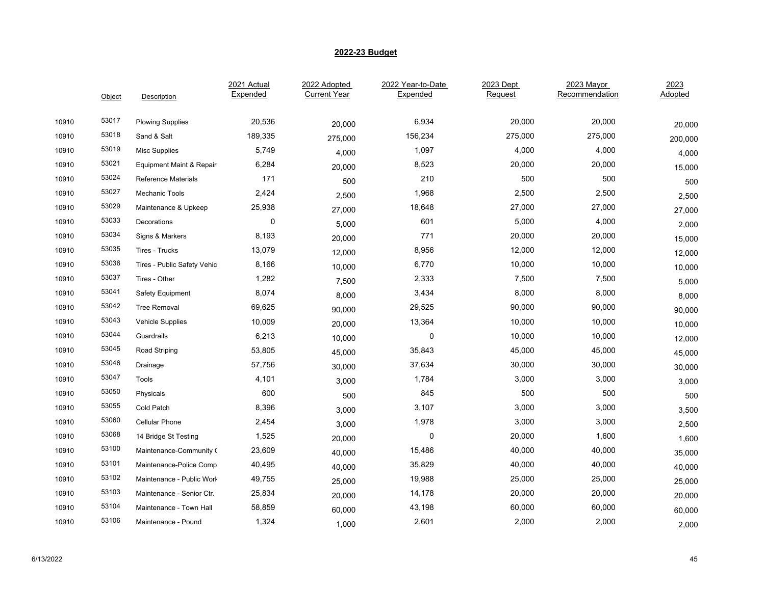|       | Object | Description                 | 2021 Actual<br>Expended | 2022 Adopted<br><b>Current Year</b> | 2022 Year-to-Date<br>Expended | 2023 Dept<br>Request | 2023 Mayor<br>Recommendation | 2023<br>Adopted |
|-------|--------|-----------------------------|-------------------------|-------------------------------------|-------------------------------|----------------------|------------------------------|-----------------|
| 10910 | 53017  | <b>Plowing Supplies</b>     | 20,536                  | 20,000                              | 6,934                         | 20,000               | 20,000                       | 20,000          |
| 10910 | 53018  | Sand & Salt                 | 189,335                 | 275,000                             | 156,234                       | 275,000              | 275,000                      | 200,000         |
| 10910 | 53019  | Misc Supplies               | 5,749                   | 4,000                               | 1,097                         | 4,000                | 4,000                        | 4,000           |
| 10910 | 53021  | Equipment Maint & Repair    | 6,284                   | 20,000                              | 8,523                         | 20,000               | 20,000                       | 15,000          |
| 10910 | 53024  | <b>Reference Materials</b>  | 171                     | 500                                 | 210                           | 500                  | 500                          | 500             |
| 10910 | 53027  | Mechanic Tools              | 2,424                   | 2,500                               | 1,968                         | 2,500                | 2,500                        | 2,500           |
| 10910 | 53029  | Maintenance & Upkeep        | 25,938                  | 27,000                              | 18,648                        | 27,000               | 27,000                       | 27,000          |
| 10910 | 53033  | Decorations                 | 0                       | 5,000                               | 601                           | 5,000                | 4,000                        | 2,000           |
| 10910 | 53034  | Signs & Markers             | 8,193                   | 20,000                              | 771                           | 20,000               | 20,000                       | 15,000          |
| 10910 | 53035  | Tires - Trucks              | 13,079                  | 12,000                              | 8,956                         | 12,000               | 12,000                       | 12,000          |
| 10910 | 53036  | Tires - Public Safety Vehic | 8,166                   | 10,000                              | 6,770                         | 10,000               | 10,000                       | 10,000          |
| 10910 | 53037  | Tires - Other               | 1,282                   | 7,500                               | 2,333                         | 7,500                | 7,500                        | 5,000           |
| 10910 | 53041  | Safety Equipment            | 8,074                   | 8,000                               | 3,434                         | 8,000                | 8,000                        | 8,000           |
| 10910 | 53042  | <b>Tree Removal</b>         | 69,625                  | 90,000                              | 29,525                        | 90,000               | 90,000                       | 90,000          |
| 10910 | 53043  | Vehicle Supplies            | 10,009                  | 20,000                              | 13,364                        | 10,000               | 10,000                       | 10,000          |
| 10910 | 53044  | Guardrails                  | 6,213                   | 10,000                              | 0                             | 10,000               | 10,000                       | 12,000          |
| 10910 | 53045  | Road Striping               | 53,805                  | 45,000                              | 35,843                        | 45,000               | 45,000                       | 45,000          |
| 10910 | 53046  | Drainage                    | 57,756                  | 30,000                              | 37,634                        | 30,000               | 30,000                       | 30,000          |
| 10910 | 53047  | Tools                       | 4,101                   | 3,000                               | 1,784                         | 3,000                | 3,000                        | 3,000           |
| 10910 | 53050  | Physicals                   | 600                     | 500                                 | 845                           | 500                  | 500                          | 500             |
| 10910 | 53055  | Cold Patch                  | 8,396                   | 3,000                               | 3,107                         | 3,000                | 3,000                        | 3,500           |
| 10910 | 53060  | <b>Cellular Phone</b>       | 2,454                   | 3,000                               | 1,978                         | 3,000                | 3,000                        | 2,500           |
| 10910 | 53068  | 14 Bridge St Testing        | 1,525                   | 20,000                              | 0                             | 20,000               | 1,600                        | 1,600           |
| 10910 | 53100  | Maintenance-Community (     | 23,609                  | 40,000                              | 15,486                        | 40,000               | 40,000                       | 35,000          |
| 10910 | 53101  | Maintenance-Police Comp     | 40,495                  | 40,000                              | 35,829                        | 40,000               | 40,000                       | 40,000          |
| 10910 | 53102  | Maintenance - Public Work   | 49,755                  | 25,000                              | 19,988                        | 25,000               | 25,000                       | 25,000          |
| 10910 | 53103  | Maintenance - Senior Ctr.   | 25,834                  | 20,000                              | 14,178                        | 20,000               | 20,000                       | 20,000          |
| 10910 | 53104  | Maintenance - Town Hall     | 58,859                  | 60,000                              | 43,198                        | 60,000               | 60,000                       | 60,000          |
| 10910 | 53106  | Maintenance - Pound         | 1,324                   | 1,000                               | 2,601                         | 2,000                | 2,000                        | 2,000           |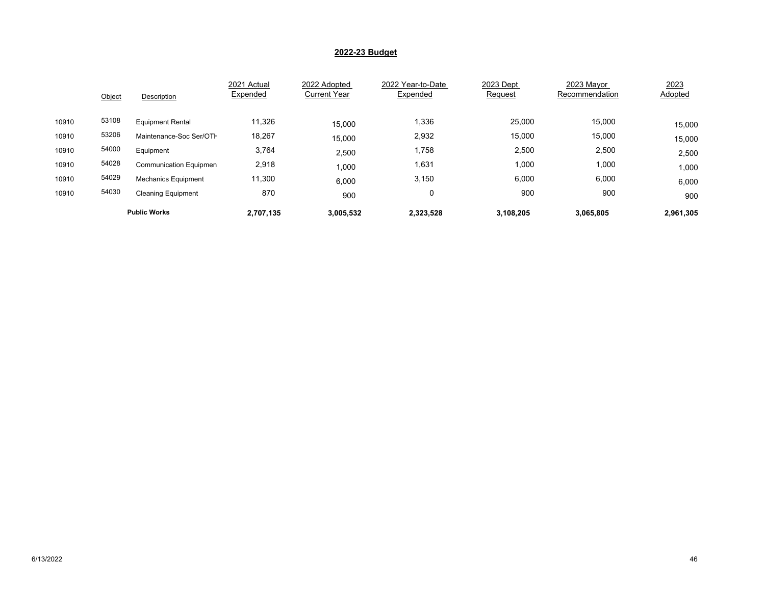|       | Object              | Description                | 2021 Actual<br>Expended | 2022 Adopted<br><b>Current Year</b> | 2022 Year-to-Date<br>Expended | 2023 Dept<br>Request | 2023 Mayor<br>Recommendation | 2023<br>Adopted |
|-------|---------------------|----------------------------|-------------------------|-------------------------------------|-------------------------------|----------------------|------------------------------|-----------------|
| 10910 | 53108               | <b>Equipment Rental</b>    | 11,326                  | 15.000                              | 1,336                         | 25,000               | 15,000                       | 15,000          |
| 10910 | 53206               | Maintenance-Soc Ser/OTH    | 18,267                  | 15,000                              | 2,932                         | 15,000               | 15,000                       | 15,000          |
| 10910 | 54000               | Equipment                  | 3,764                   | 2,500                               | 1,758                         | 2,500                | 2,500                        | 2,500           |
| 10910 | 54028               | Communication Equipmen     | 2,918                   | 1,000                               | 1,631                         | 1,000                | 1,000                        | 1,000           |
| 10910 | 54029               | <b>Mechanics Equipment</b> | 11,300                  | 6,000                               | 3,150                         | 6,000                | 6,000                        | 6,000           |
| 10910 | 54030               | <b>Cleaning Equipment</b>  | 870                     | 900                                 | 0                             | 900                  | 900                          | 900             |
|       | <b>Public Works</b> |                            | 2,707,135               | 3,005,532                           | 2,323,528                     | 3,108,205            | 3,065,805                    | 2,961,305       |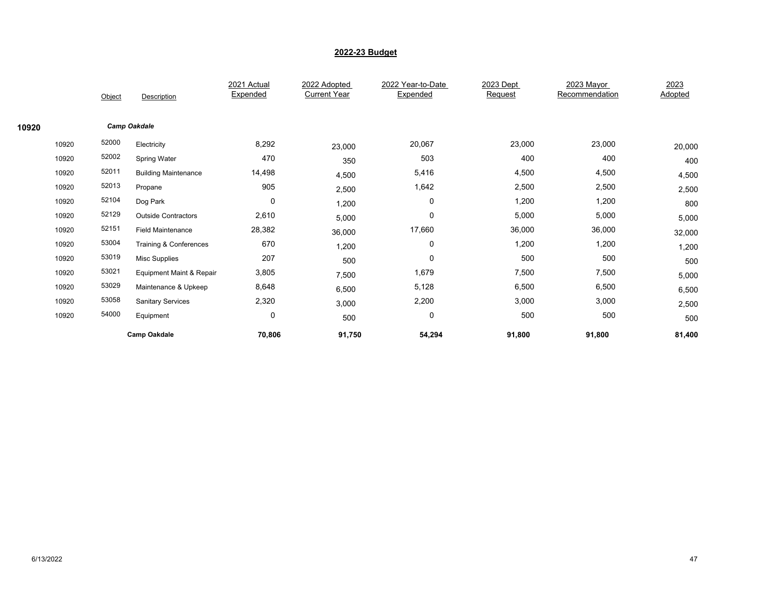|       |       |        |                             | 2021 Actual<br>Expended | 2022 Adopted<br><b>Current Year</b> | 2022 Year-to-Date<br>Expended | 2023 Dept<br>Request | 2023 Mayor<br>Recommendation | 2023<br>Adopted |
|-------|-------|--------|-----------------------------|-------------------------|-------------------------------------|-------------------------------|----------------------|------------------------------|-----------------|
|       |       | Object | Description                 |                         |                                     |                               |                      |                              |                 |
| 10920 |       |        | <b>Camp Oakdale</b>         |                         |                                     |                               |                      |                              |                 |
|       | 10920 | 52000  | Electricity                 | 8,292                   | 23,000                              | 20,067                        | 23,000               | 23,000                       | 20,000          |
|       | 10920 | 52002  | <b>Spring Water</b>         | 470                     | 350                                 | 503                           | 400                  | 400                          | 400             |
|       | 10920 | 52011  | <b>Building Maintenance</b> | 14,498                  | 4,500                               | 5,416                         | 4,500                | 4,500                        | 4,500           |
|       | 10920 | 52013  | Propane                     | 905                     | 2,500                               | 1,642                         | 2,500                | 2,500                        | 2,500           |
|       | 10920 | 52104  | Dog Park                    | $\mathbf 0$             | 1,200                               | 0                             | 1,200                | 1,200                        | 800             |
|       | 10920 | 52129  | <b>Outside Contractors</b>  | 2,610                   | 5,000                               | 0                             | 5,000                | 5,000                        | 5,000           |
|       | 10920 | 52151  | <b>Field Maintenance</b>    | 28,382                  | 36,000                              | 17,660                        | 36,000               | 36,000                       | 32,000          |
|       | 10920 | 53004  | Training & Conferences      | 670                     | 1,200                               | 0                             | 1,200                | 1,200                        | 1,200           |
|       | 10920 | 53019  | <b>Misc Supplies</b>        | 207                     | 500                                 | 0                             | 500                  | 500                          | 500             |
|       | 10920 | 53021  | Equipment Maint & Repair    | 3,805                   | 7,500                               | 1,679                         | 7,500                | 7,500                        | 5,000           |
|       | 10920 | 53029  | Maintenance & Upkeep        | 8,648                   | 6,500                               | 5,128                         | 6,500                | 6,500                        | 6,500           |
|       | 10920 | 53058  | <b>Sanitary Services</b>    | 2,320                   | 3,000                               | 2,200                         | 3,000                | 3,000                        | 2,500           |
|       | 10920 | 54000  | Equipment                   | $\mathbf 0$             | 500                                 | 0                             | 500                  | 500                          | 500             |
|       |       |        | <b>Camp Oakdale</b>         | 70,806                  | 91,750                              | 54,294                        | 91,800               | 91,800                       | 81,400          |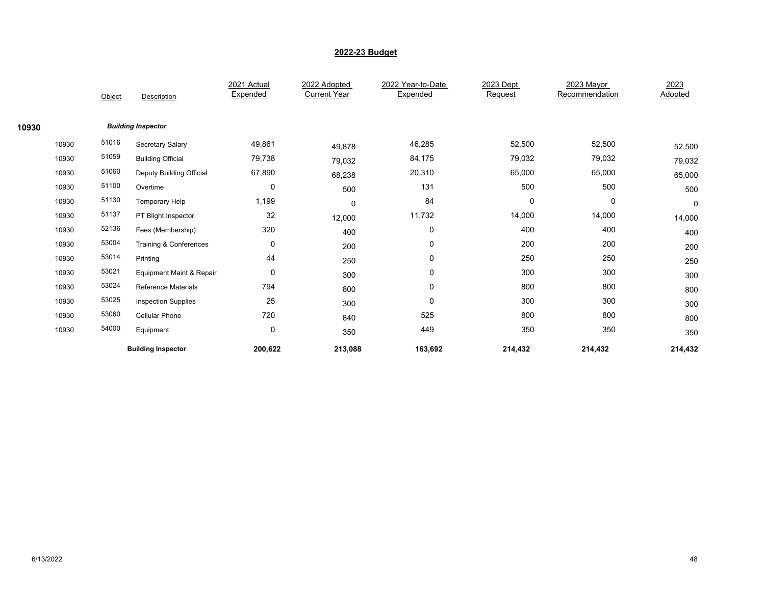|       |       |        |                                     | 2021 Actual | 2022 Adopted        | 2022 Year-to-Date | 2023 Dept | 2023 Mayor     | 2023        |  |
|-------|-------|--------|-------------------------------------|-------------|---------------------|-------------------|-----------|----------------|-------------|--|
|       |       | Object | Description                         | Expended    | <b>Current Year</b> | Expended          | Request   | Recommendation | Adopted     |  |
|       |       |        |                                     |             |                     |                   |           |                |             |  |
| 10930 |       |        | <b>Building Inspector</b>           |             |                     |                   |           |                |             |  |
|       | 10930 | 51016  | Secretary Salary                    | 49,861      | 49,878              | 46,285            | 52,500    | 52,500         | 52,500      |  |
|       | 10930 | 51059  | <b>Building Official</b>            | 79,738      | 79,032              | 84,175            | 79,032    | 79,032         | 79,032      |  |
|       | 10930 | 51060  | Deputy Building Official            | 67,890      | 68,238              | 20,310            | 65,000    | 65,000         | 65,000      |  |
|       | 10930 | 51100  | Overtime                            | $\mathbf 0$ | 500                 | 131               | 500       | 500            | 500         |  |
|       | 10930 | 51130  | <b>Temporary Help</b>               | 1,199       | 0                   | 84                | 0         | 0              | $\mathbf 0$ |  |
|       | 10930 | 51137  | PT Blight Inspector                 | 32          | 12,000              | 11,732            | 14,000    | 14,000         | 14,000      |  |
|       | 10930 | 52136  | Fees (Membership)                   | 320         | 400                 | 0                 | 400       | 400            | 400         |  |
|       | 10930 | 53004  | Training & Conferences              | 0           | 200                 | 0                 | 200       | 200            | 200         |  |
|       | 10930 | 53014  | Printing                            | 44          | 250                 | 0                 | 250       | 250            | 250         |  |
|       | 10930 | 53021  | <b>Equipment Maint &amp; Repair</b> | $\mathbf 0$ | 300                 | 0                 | 300       | 300            | 300         |  |
|       | 10930 | 53024  | <b>Reference Materials</b>          | 794         | 800                 | 0                 | 800       | 800            | 800         |  |
|       | 10930 | 53025  | <b>Inspection Supplies</b>          | 25          | 300                 | 0                 | 300       | 300            | 300         |  |
|       | 10930 | 53060  | Cellular Phone                      | 720         | 840                 | 525               | 800       | 800            | 800         |  |
|       | 10930 | 54000  | Equipment                           | 0           | 350                 | 449               | 350       | 350            | 350         |  |
|       |       |        | <b>Building Inspector</b>           | 200,622     | 213,088             | 163,692           | 214,432   | 214,432        | 214,432     |  |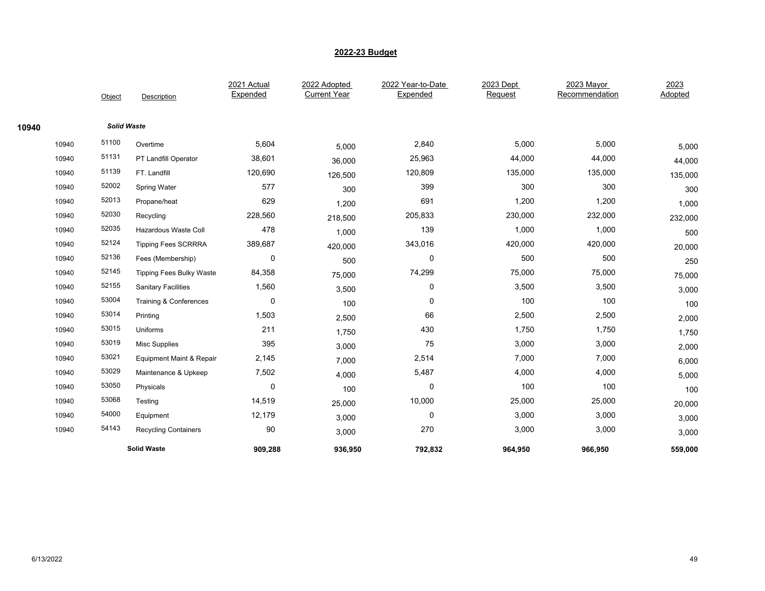|       |       |                    |                                     | 2021 Actual | 2022 Adopted        | 2022 Year-to-Date | 2023 Dept | 2023 Mayor     | 2023    |
|-------|-------|--------------------|-------------------------------------|-------------|---------------------|-------------------|-----------|----------------|---------|
|       |       | Object             | Description                         | Expended    | <b>Current Year</b> | Expended          | Request   | Recommendation | Adopted |
|       |       |                    |                                     |             |                     |                   |           |                |         |
| 10940 |       | <b>Solid Waste</b> |                                     |             |                     |                   |           |                |         |
|       | 10940 | 51100              | Overtime                            | 5,604       | 5,000               | 2,840             | 5,000     | 5,000          | 5,000   |
|       | 10940 | 51131              | PT Landfill Operator                | 38,601      | 36,000              | 25,963            | 44,000    | 44,000         | 44,000  |
|       | 10940 | 51139              | FT. Landfill                        | 120,690     | 126,500             | 120,809           | 135,000   | 135,000        | 135,000 |
|       | 10940 | 52002              | <b>Spring Water</b>                 | 577         | 300                 | 399               | 300       | 300            | 300     |
|       | 10940 | 52013              | Propane/heat                        | 629         | 1,200               | 691               | 1,200     | 1,200          | 1,000   |
|       | 10940 | 52030              | Recycling                           | 228,560     | 218,500             | 205,833           | 230,000   | 232,000        | 232,000 |
|       | 10940 | 52035              | Hazardous Waste Coll                | 478         | 1,000               | 139               | 1,000     | 1,000          | 500     |
|       | 10940 | 52124              | <b>Tipping Fees SCRRRA</b>          | 389,687     | 420,000             | 343,016           | 420,000   | 420,000        | 20,000  |
|       | 10940 | 52136              | Fees (Membership)                   | $\mathbf 0$ | 500                 | 0                 | 500       | 500            | 250     |
|       | 10940 | 52145              | <b>Tipping Fees Bulky Waste</b>     | 84,358      | 75,000              | 74,299            | 75,000    | 75,000         | 75,000  |
|       | 10940 | 52155              | <b>Sanitary Facilities</b>          | 1,560       | 3,500               | 0                 | 3,500     | 3,500          | 3,000   |
|       | 10940 | 53004              | Training & Conferences              | 0           | 100                 | 0                 | 100       | 100            | 100     |
|       | 10940 | 53014              | Printing                            | 1,503       | 2,500               | 66                | 2,500     | 2,500          | 2,000   |
|       | 10940 | 53015              | Uniforms                            | 211         | 1,750               | 430               | 1,750     | 1,750          | 1,750   |
|       | 10940 | 53019              | <b>Misc Supplies</b>                | 395         | 3,000               | 75                | 3,000     | 3,000          | 2,000   |
|       | 10940 | 53021              | <b>Equipment Maint &amp; Repair</b> | 2,145       | 7,000               | 2,514             | 7,000     | 7,000          | 6,000   |
|       | 10940 | 53029              | Maintenance & Upkeep                | 7,502       | 4,000               | 5,487             | 4,000     | 4,000          | 5,000   |
|       | 10940 | 53050              | Physicals                           | $\mathbf 0$ | 100                 | 0                 | 100       | 100            | 100     |
|       | 10940 | 53068              | Testing                             | 14,519      | 25,000              | 10,000            | 25,000    | 25,000         | 20,000  |
|       | 10940 | 54000              | Equipment                           | 12,179      | 3,000               | 0                 | 3,000     | 3,000          | 3,000   |
|       | 10940 | 54143              | <b>Recycling Containers</b>         | 90          | 3,000               | 270               | 3,000     | 3,000          | 3,000   |
|       |       |                    | <b>Solid Waste</b>                  | 909,288     | 936,950             | 792,832           | 964,950   | 966,950        | 559,000 |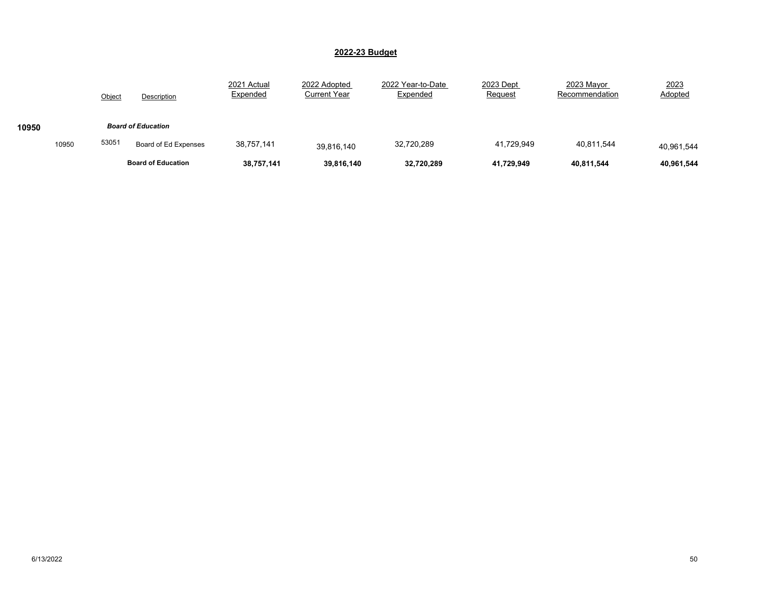|       |       | Object                    | Description               | 2021 Actual<br>Expended | 2022 Adopted<br><b>Current Year</b> | 2022 Year-to-Date<br>Expended | 2023 Dept<br>Request | 2023 Mayor<br>Recommendation | 2023<br>Adopted |
|-------|-------|---------------------------|---------------------------|-------------------------|-------------------------------------|-------------------------------|----------------------|------------------------------|-----------------|
| 10950 |       | <b>Board of Education</b> |                           |                         |                                     |                               |                      |                              |                 |
|       | 10950 | 53051                     | Board of Ed Expenses      | 38.757.141              | 39,816,140                          | 32,720,289                    | 41,729,949           | 40.811.544                   | 40,961,544      |
|       |       |                           | <b>Board of Education</b> | 38,757,141              | 39,816,140                          | 32,720,289                    | 41,729,949           | 40,811,544                   | 40,961,544      |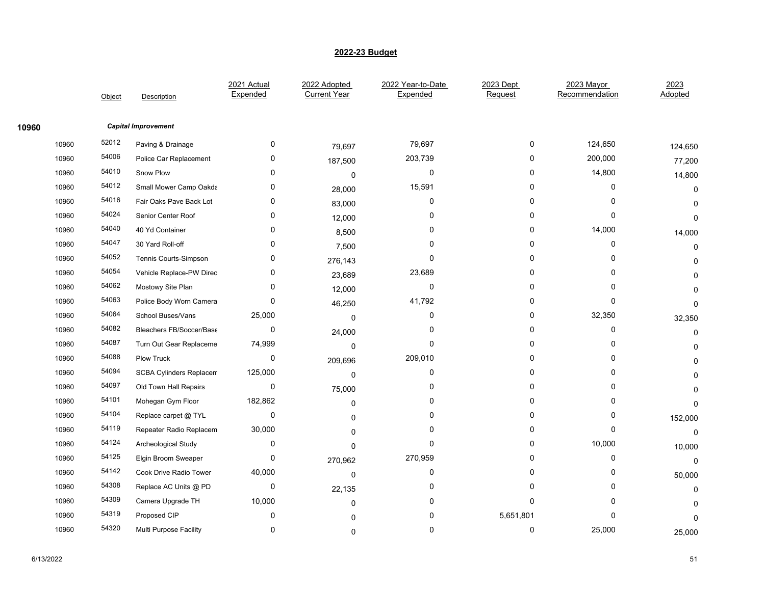|       |       | Object | Description                    | 2021 Actual<br>Expended | 2022 Adopted<br><b>Current Year</b> | 2022 Year-to-Date<br>Expended | 2023 Dept<br>Request | 2023 Mayor<br>Recommendation | 2023<br>Adopted |
|-------|-------|--------|--------------------------------|-------------------------|-------------------------------------|-------------------------------|----------------------|------------------------------|-----------------|
| 10960 |       |        | <b>Capital Improvement</b>     |                         |                                     |                               |                      |                              |                 |
|       | 10960 | 52012  | Paving & Drainage              | 0                       | 79,697                              | 79,697                        | 0                    | 124,650                      | 124,650         |
|       | 10960 | 54006  | Police Car Replacement         | 0                       | 187,500                             | 203,739                       | 0                    | 200,000                      | 77,200          |
|       | 10960 | 54010  | Snow Plow                      | 0                       | 0                                   | $\mathbf 0$                   | $\Omega$             | 14,800                       | 14,800          |
|       | 10960 | 54012  | Small Mower Camp Oakda         | 0                       | 28,000                              | 15,591                        | 0                    | 0                            | 0               |
|       | 10960 | 54016  | Fair Oaks Pave Back Lot        | 0                       | 83,000                              | 0                             | 0                    | 0                            | $\Omega$        |
|       | 10960 | 54024  | Senior Center Roof             | 0                       | 12,000                              | $\Omega$                      | $\Omega$             | 0                            | 0               |
|       | 10960 | 54040  | 40 Yd Container                | 0                       | 8,500                               | 0                             | 0                    | 14,000                       | 14,000          |
|       | 10960 | 54047  | 30 Yard Roll-off               | 0                       | 7,500                               | 0                             | 0                    | 0                            | $\Omega$        |
|       | 10960 | 54052  | Tennis Courts-Simpson          | 0                       | 276,143                             | $\Omega$                      | $\Omega$             | $\Omega$                     | $\Omega$        |
|       | 10960 | 54054  | Vehicle Replace-PW Direc       | 0                       | 23,689                              | 23,689                        | 0                    | $\Omega$                     | U               |
|       | 10960 | 54062  | Mostowy Site Plan              | 0                       | 12,000                              | 0                             | 0                    | 0                            | U               |
|       | 10960 | 54063  | Police Body Worn Camera        | $\Omega$                | 46,250                              | 41,792                        | $\Omega$             | 0                            | $\Omega$        |
|       | 10960 | 54064  | School Buses/Vans              | 25,000                  | 0                                   | $\mathbf 0$                   | $\mathbf 0$          | 32,350                       | 32,350          |
|       | 10960 | 54082  | Bleachers FB/Soccer/Base       | 0                       | 24,000                              | 0                             | 0                    | 0                            | 0               |
|       | 10960 | 54087  | Turn Out Gear Replaceme        | 74,999                  | $\mathbf 0$                         | $\mathbf 0$                   | $\Omega$             | 0                            | $\Omega$        |
|       | 10960 | 54088  | <b>Plow Truck</b>              | 0                       | 209,696                             | 209,010                       | $\Omega$             | $\mathbf 0$                  | n               |
|       | 10960 | 54094  | <b>SCBA Cylinders Replacem</b> | 125,000                 | $\Omega$                            | 0                             | 0                    | 0                            | U               |
|       | 10960 | 54097  | Old Town Hall Repairs          | 0                       | 75,000                              | 0                             | 0                    | 0                            |                 |
|       | 10960 | 54101  | Mohegan Gym Floor              | 182,862                 | $\mathbf 0$                         | $\mathbf 0$                   | $\Omega$             | 0                            | $\Omega$        |
|       | 10960 | 54104  | Replace carpet @ TYL           | $\pmb{0}$               | $\Omega$                            | $\Omega$                      | 0                    | 0                            | 152,000         |
|       | 10960 | 54119  | Repeater Radio Replacem        | 30,000                  | O                                   | 0                             | 0                    | 0                            | 0               |
|       | 10960 | 54124  | Archeological Study            | 0                       | $\Omega$                            | $\mathbf 0$                   | $\mathbf 0$          | 10,000                       | 10,000          |
|       | 10960 | 54125  | Elgin Broom Sweaper            | 0                       | 270,962                             | 270,959                       | $\Omega$             | 0                            | 0               |
|       | 10960 | 54142  | Cook Drive Radio Tower         | 40,000                  | 0                                   | 0                             | 0                    | 0                            | 50,000          |
|       | 10960 | 54308  | Replace AC Units @ PD          | 0                       | 22,135                              | 0                             | 0                    | 0                            | $\Omega$        |
|       | 10960 | 54309  | Camera Upgrade TH              | 10,000                  | $\Omega$                            | $\mathbf 0$                   | $\mathbf 0$          | 0                            | U               |
|       | 10960 | 54319  | Proposed CIP                   | 0                       | O                                   | 0                             | 5,651,801            | $\Omega$                     | 0               |
|       | 10960 | 54320  | Multi Purpose Facility         | 0                       | $\Omega$                            | 0                             | 0                    | 25,000                       | 25,000          |